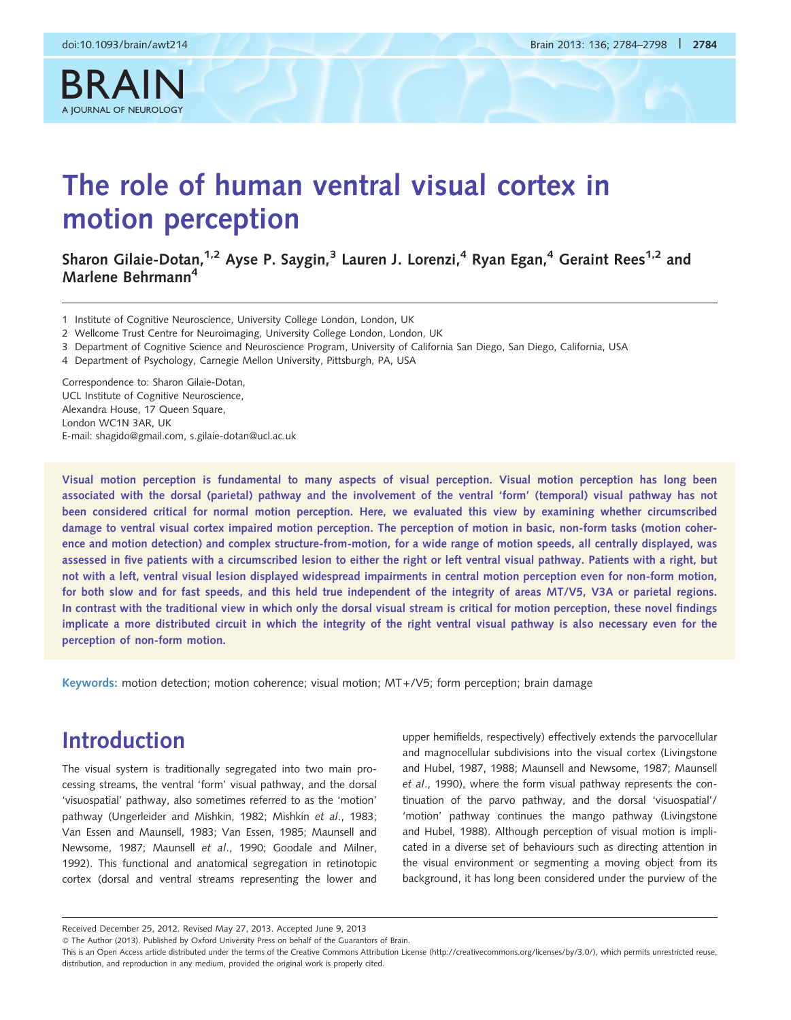

# The role of human ventral visual cortex in motion perception

Sharon Gilaie-Dotan,<sup>1,2</sup> Ayse P. Saygin,<sup>3</sup> Lauren J. Lorenzi,<sup>4</sup> Ryan Egan,<sup>4</sup> Geraint Rees<sup>1,2</sup> and Marlene Behrmann4

1 Institute of Cognitive Neuroscience, University College London, London, UK

- 2 Wellcome Trust Centre for Neuroimaging, University College London, London, UK
- 3 Department of Cognitive Science and Neuroscience Program, University of California San Diego, San Diego, California, USA
- 4 Department of Psychology, Carnegie Mellon University, Pittsburgh, PA, USA

Correspondence to: Sharon Gilaie-Dotan, UCL Institute of Cognitive Neuroscience, Alexandra House, 17 Queen Square, London WC1N 3AR, UK E-mail: shagido@gmail.com, s.gilaie-dotan@ucl.ac.uk

Visual motion perception is fundamental to many aspects of visual perception. Visual motion perception has long been associated with the dorsal (parietal) pathway and the involvement of the ventral 'form' (temporal) visual pathway has not been considered critical for normal motion perception. Here, we evaluated this view by examining whether circumscribed damage to ventral visual cortex impaired motion perception. The perception of motion in basic, non-form tasks (motion coherence and motion detection) and complex structure-from-motion, for a wide range of motion speeds, all centrally displayed, was assessed in five patients with a circumscribed lesion to either the right or left ventral visual pathway. Patients with a right, but not with a left, ventral visual lesion displayed widespread impairments in central motion perception even for non-form motion, for both slow and for fast speeds, and this held true independent of the integrity of areas MT/V5, V3A or parietal regions. In contrast with the traditional view in which only the dorsal visual stream is critical for motion perception, these novel findings implicate a more distributed circuit in which the integrity of the right ventral visual pathway is also necessary even for the perception of non-form motion.

Keywords: motion detection; motion coherence; visual motion; MT+/V5; form perception; brain damage

## Introduction

The visual system is traditionally segregated into two main processing streams, the ventral 'form' visual pathway, and the dorsal 'visuospatial' pathway, also sometimes referred to as the 'motion' pathway ([Ungerleider and Mishkin, 1982;](#page-14-0) [Mishkin](#page-13-0) et al., 1983; [Van Essen and Maunsell, 1983; Van Essen, 1985](#page-14-0); [Maunsell and](#page-13-0) [Newsome, 1987; Maunsell](#page-13-0) et al., 1990; [Goodale and Milner,](#page-13-0) [1992\)](#page-13-0). This functional and anatomical segregation in retinotopic cortex (dorsal and ventral streams representing the lower and

upper hemifields, respectively) effectively extends the parvocellular and magnocellular subdivisions into the visual cortex ([Livingstone](#page-13-0) [and Hubel, 1987, 1988; Maunsell and Newsome, 1987; Maunsell](#page-13-0) et al[., 1990\)](#page-13-0), where the form visual pathway represents the continuation of the parvo pathway, and the dorsal 'visuospatial'/ 'motion' pathway continues the mango pathway ([Livingstone](#page-13-0) [and Hubel, 1988](#page-13-0)). Although perception of visual motion is implicated in a diverse set of behaviours such as directing attention in the visual environment or segmenting a moving object from its background, it has long been considered under the purview of the

Received December 25, 2012. Revised May 27, 2013. Accepted June 9, 2013

<sup>-</sup> The Author (2013). Published by Oxford University Press on behalf of the Guarantors of Brain.

This is an Open Access article distributed under the terms of the Creative Commons Attribution License (http://creativecommons.org/licenses/by/3.0/), which permits unrestricted reuse, distribution, and reproduction in any medium, provided the original work is properly cited.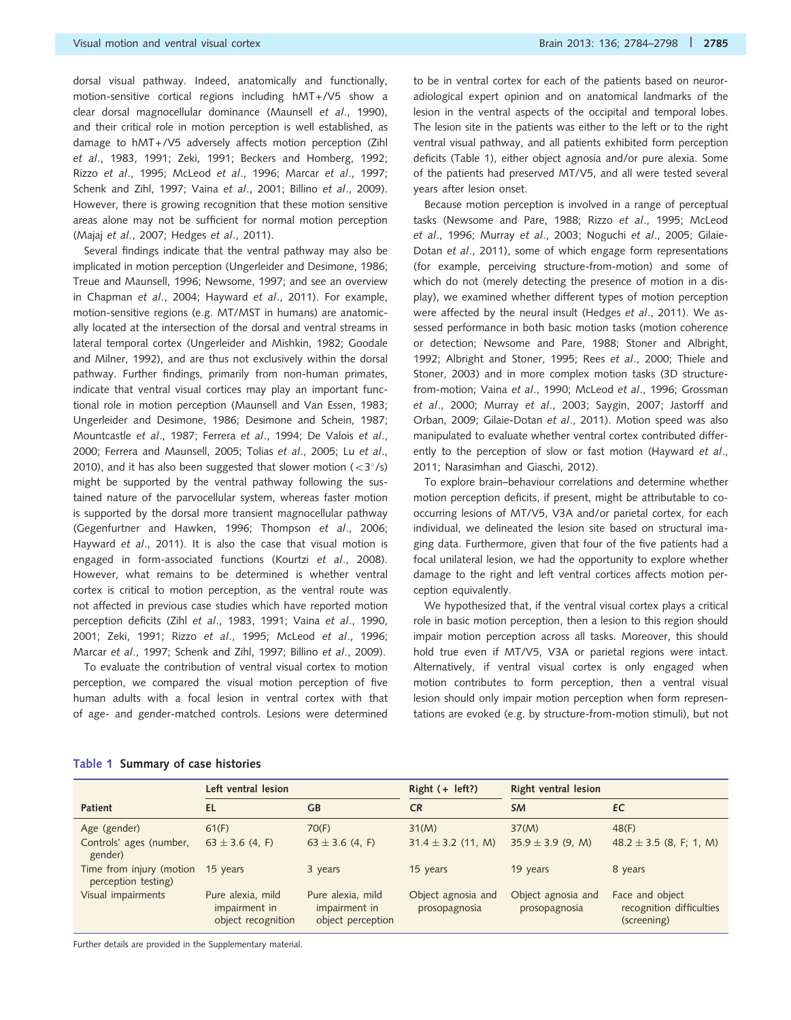<span id="page-1-0"></span>dorsal visual pathway. Indeed, anatomically and functionally, motion-sensitive cortical regions including hMT+/V5 show a clear dorsal magnocellular dominance ([Maunsell](#page-13-0) et al., 1990), and their critical role in motion perception is well established, as damage to hMT+/V5 adversely affects motion perception ([Zihl](#page-14-0) et al[., 1983](#page-14-0), [1991](#page-14-0); [Zeki, 1991](#page-14-0); [Beckers and Homberg, 1992](#page-12-0); Rizzo et al[., 1995;](#page-14-0) [McLeod](#page-13-0) et al., 1996; Marcar et al[., 1997](#page-13-0); [Schenk and Zihl, 1997](#page-14-0); Vaina et al[., 2001](#page-14-0); Billino et al[., 2009](#page-12-0)). However, there is growing recognition that these motion sensitive areas alone may not be sufficient for normal motion perception (Majaj et al[., 2007](#page-13-0); [Hedges](#page-13-0) et al., 2011).

Several findings indicate that the ventral pathway may also be implicated in motion perception ([Ungerleider and Desimone, 1986](#page-14-0); [Treue and Maunsell, 1996;](#page-14-0) [Newsome, 1997](#page-13-0); and see an overview in [Chapman](#page-12-0) et al., 2004; [Hayward](#page-13-0) et al., 2011). For example, motion-sensitive regions (e.g. MT/MST in humans) are anatomically located at the intersection of the dorsal and ventral streams in lateral temporal cortex ([Ungerleider and Mishkin, 1982](#page-14-0); [Goodale](#page-13-0) [and Milner, 1992\)](#page-13-0), and are thus not exclusively within the dorsal pathway. Further findings, primarily from non-human primates, indicate that ventral visual cortices may play an important functional role in motion perception [\(Maunsell and Van Essen, 1983](#page-13-0); [Ungerleider and Desimone, 1986](#page-14-0); [Desimone and Schein, 1987](#page-12-0); [Mountcastle](#page-13-0) et al., 1987; Ferrera et al[., 1994; De Valois](#page-12-0) et al., [2000](#page-12-0); [Ferrera and Maunsell, 2005](#page-12-0); Tolias et al[., 2005;](#page-14-0) Lu [et al](#page-13-0)., [2010](#page-13-0)), and it has also been suggested that slower motion  $\left($  < 3 $^{\circ}$ /s) might be supported by the ventral pathway following the sustained nature of the parvocellular system, whereas faster motion is supported by the dorsal more transient magnocellular pathway ([Gegenfurtner and Hawken, 1996](#page-12-0); [Thompson](#page-14-0) et al., 2006; [Hayward](#page-13-0) et al., 2011). It is also the case that visual motion is engaged in form-associated functions (Kourtzi et al[., 2008](#page-13-0)). However, what remains to be determined is whether ventral cortex is critical to motion perception, as the ventral route was not affected in previous case studies which have reported motion perception deficits (Zihl et al[., 1983](#page-14-0), [1991;](#page-14-0) Vaina et al[., 1990](#page-14-0), [2001](#page-14-0); [Zeki, 1991](#page-14-0); Rizzo et al[., 1995;](#page-14-0) [McLeod](#page-13-0) et al., 1996; Marcar et al[., 1997;](#page-13-0) [Schenk and Zihl, 1997](#page-14-0); Billino et al[., 2009\)](#page-12-0).

To evaluate the contribution of ventral visual cortex to motion perception, we compared the visual motion perception of five human adults with a focal lesion in ventral cortex with that of age- and gender-matched controls. Lesions were determined to be in ventral cortex for each of the patients based on neuroradiological expert opinion and on anatomical landmarks of the lesion in the ventral aspects of the occipital and temporal lobes. The lesion site in the patients was either to the left or to the right ventral visual pathway, and all patients exhibited form perception deficits (Table 1), either object agnosia and/or pure alexia. Some of the patients had preserved MT/V5, and all were tested several years after lesion onset.

Because motion perception is involved in a range of perceptual tasks [\(Newsome and Pare, 1988](#page-13-0); Rizzo et al[., 1995](#page-14-0); [McLeod](#page-13-0) et al[., 1996;](#page-13-0) Murray et al[., 2003](#page-13-0); [Noguchi](#page-13-0) et al., 2005; [Gilaie-](#page-12-0)Dotan et al[., 2011\)](#page-12-0), some of which engage form representations (for example, perceiving structure-from-motion) and some of which do not (merely detecting the presence of motion in a display), we examined whether different types of motion perception were affected by the neural insult [\(Hedges](#page-13-0) et al., 2011). We assessed performance in both basic motion tasks (motion coherence or detection; [Newsome and Pare, 1988;](#page-13-0) [Stoner and Albright,](#page-14-0) [1992](#page-14-0); [Albright and Stoner, 1995](#page-12-0); Rees et al[., 2000; Thiele and](#page-14-0) [Stoner, 2003\)](#page-14-0) and in more complex motion tasks (3D structure-from-motion; Vaina et al[., 1990](#page-14-0); [McLeod](#page-13-0) et al., 1996; [Grossman](#page-13-0) et al[., 2000;](#page-13-0) Murray et al[., 2003;](#page-13-0) [Saygin, 2007](#page-14-0); [Jastorff and](#page-13-0) [Orban, 2009;](#page-13-0) [Gilaie-Dotan](#page-12-0) et al., 2011). Motion speed was also manipulated to evaluate whether ventral cortex contributed differently to the perception of slow or fast motion [\(Hayward](#page-13-0) et al., [2011](#page-13-0); [Narasimhan and Giaschi, 2012\)](#page-13-0).

To explore brain–behaviour correlations and determine whether motion perception deficits, if present, might be attributable to cooccurring lesions of MT/V5, V3A and/or parietal cortex, for each individual, we delineated the lesion site based on structural imaging data. Furthermore, given that four of the five patients had a focal unilateral lesion, we had the opportunity to explore whether damage to the right and left ventral cortices affects motion perception equivalently.

We hypothesized that, if the ventral visual cortex plays a critical role in basic motion perception, then a lesion to this region should impair motion perception across all tasks. Moreover, this should hold true even if MT/V5, V3A or parietal regions were intact. Alternatively, if ventral visual cortex is only engaged when motion contributes to form perception, then a ventral visual lesion should only impair motion perception when form representations are evoked (e.g. by structure-from-motion stimuli), but not

|                                                          | Left ventral lesion                                      |                                                         | Right $(+$ left?)                   | Right ventral lesion                |                                                            |  |
|----------------------------------------------------------|----------------------------------------------------------|---------------------------------------------------------|-------------------------------------|-------------------------------------|------------------------------------------------------------|--|
| <b>Patient</b>                                           | EL                                                       | <b>GB</b>                                               | <b>CR</b>                           | <b>SM</b>                           | EC                                                         |  |
| Age (gender)                                             | 61(F)                                                    | 70(F)                                                   | 31(M)                               | 37(M)                               | 48(F)                                                      |  |
| Controls' ages (number,<br>gender)                       | 63 $\pm$ 3.6 (4, F)                                      | $63 \pm 3.6$ (4, F)                                     | $31.4 \pm 3.2$ (11, M)              | $35.9 \pm 3.9$ (9, M)               | $48.2 \pm 3.5$ (8, F; 1, M)                                |  |
| Time from injury (motion 15 years<br>perception testing) |                                                          | 3 years                                                 | 15 years                            | 19 years                            | 8 years                                                    |  |
| Visual impairments                                       | Pure alexia, mild<br>impairment in<br>object recognition | Pure alexia, mild<br>impairment in<br>object perception | Object agnosia and<br>prosopagnosia | Object agnosia and<br>prosopagnosia | Face and object<br>recognition difficulties<br>(screening) |  |

#### Table 1 Summary of case histories

Further details are provided in the [Supplementary material.](http://brain.oxfordjournals.org/lookup/suppl/doi:10.1093/brain/awt214/-/DC1)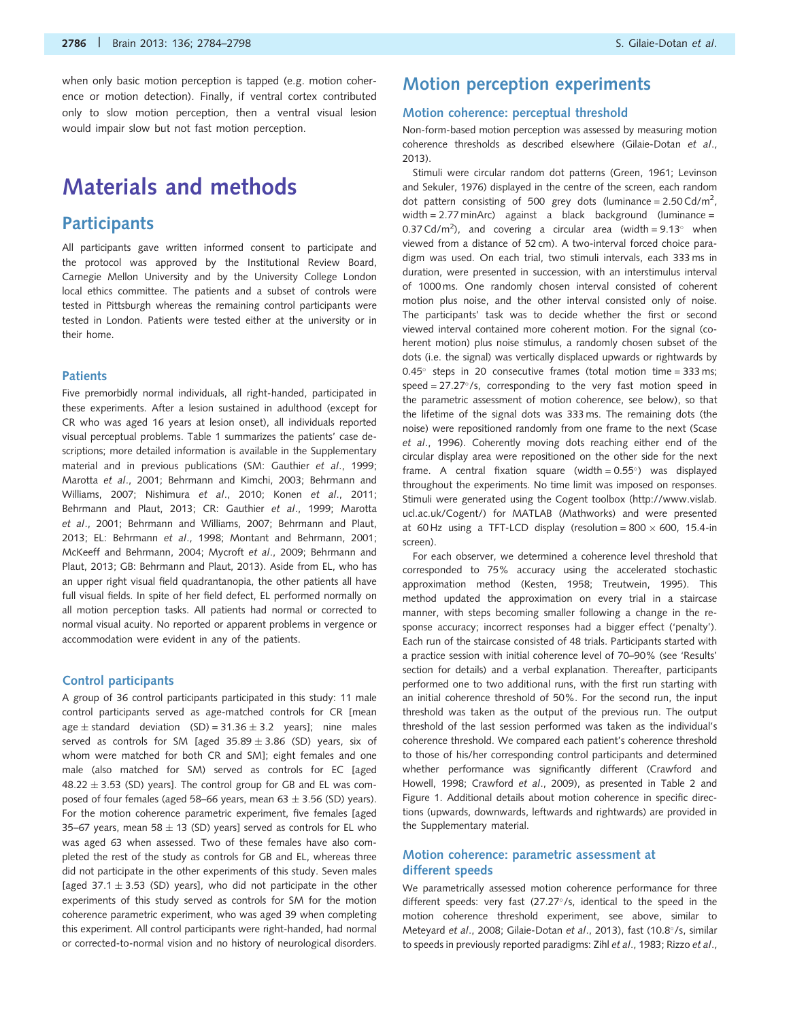when only basic motion perception is tapped (e.g. motion coherence or motion detection). Finally, if ventral cortex contributed only to slow motion perception, then a ventral visual lesion would impair slow but not fast motion perception.

## Materials and methods

### **Participants**

All participants gave written informed consent to participate and the protocol was approved by the Institutional Review Board, Carnegie Mellon University and by the University College London local ethics committee. The patients and a subset of controls were tested in Pittsburgh whereas the remaining control participants were tested in London. Patients were tested either at the university or in their home.

#### **Patients**

Five premorbidly normal individuals, all right-handed, participated in these experiments. After a lesion sustained in adulthood (except for CR who was aged 16 years at lesion onset), all individuals reported visual perceptual problems. [Table 1](#page-1-0) summarizes the patients' case descriptions; more detailed information is available in the [Supplementary](http://brain.oxfordjournals.org/lookup/suppl/doi:10.1093/brain/awt214/-/DC1) [material](http://brain.oxfordjournals.org/lookup/suppl/doi:10.1093/brain/awt214/-/DC1) and in previous publications (SM: [Gauthier](#page-12-0) et al., 1999; [Marotta](#page-13-0) et al., 2001; [Behrmann and Kimchi, 2003; Behrmann and](#page-12-0) [Williams, 2007;](#page-12-0) [Nishimura](#page-13-0) et al., 2010; Konen et al[., 2011;](#page-13-0) [Behrmann and Plaut, 2013](#page-12-0); CR: [Gauthier](#page-12-0) et al., 1999; [Marotta](#page-13-0) et al[., 2001](#page-13-0); [Behrmann and Williams, 2007](#page-12-0); [Behrmann and Plaut,](#page-12-0) [2013;](#page-12-0) EL: [Behrmann](#page-12-0) et al., 1998; [Montant and Behrmann, 2001;](#page-13-0) [McKeeff and Behrmann, 2004; Mycroft](#page-13-0) et al., 2009; [Behrmann and](#page-12-0) [Plaut, 2013](#page-12-0); GB: [Behrmann and Plaut, 2013](#page-12-0)). Aside from EL, who has an upper right visual field quadrantanopia, the other patients all have full visual fields. In spite of her field defect, EL performed normally on all motion perception tasks. All patients had normal or corrected to normal visual acuity. No reported or apparent problems in vergence or accommodation were evident in any of the patients.

#### Control participants

A group of 36 control participants participated in this study: 11 male control participants served as age-matched controls for CR [mean age  $\pm$  standard deviation (SD) = 31.36  $\pm$  3.2 years]; nine males served as controls for SM [aged  $35.89 \pm 3.86$  (SD) years, six of whom were matched for both CR and SM]; eight females and one male (also matched for SM) served as controls for EC [aged  $48.22 \pm 3.53$  (SD) years]. The control group for GB and EL was composed of four females (aged 58–66 years, mean  $63 \pm 3.56$  (SD) years). For the motion coherence parametric experiment, five females [aged 35–67 years, mean 58  $\pm$  13 (SD) years] served as controls for EL who was aged 63 when assessed. Two of these females have also completed the rest of the study as controls for GB and EL, whereas three did not participate in the other experiments of this study. Seven males [aged 37.1  $\pm$  3.53 (SD) years], who did not participate in the other experiments of this study served as controls for SM for the motion coherence parametric experiment, who was aged 39 when completing this experiment. All control participants were right-handed, had normal or corrected-to-normal vision and no history of neurological disorders.

### Motion perception experiments

#### Motion coherence: perceptual threshold

Non-form-based motion perception was assessed by measuring motion coherence thresholds as described elsewhere ([Gilaie-Dotan](#page-12-0) et al., [2013\)](#page-12-0).

Stimuli were circular random dot patterns ([Green, 1961; Levinson](#page-13-0) [and Sekuler, 1976\)](#page-13-0) displayed in the centre of the screen, each random dot pattern consisting of 500 grey dots (luminance =  $2.50 \text{Cd/m}^2$ , width =  $2.77$  minArc) against a black background (luminance = 0.37 Cd/m<sup>2</sup>), and covering a circular area (width =  $9.13^{\circ}$  when viewed from a distance of 52 cm). A two-interval forced choice paradigm was used. On each trial, two stimuli intervals, each 333 ms in duration, were presented in succession, with an interstimulus interval of 1000 ms. One randomly chosen interval consisted of coherent motion plus noise, and the other interval consisted only of noise. The participants' task was to decide whether the first or second viewed interval contained more coherent motion. For the signal (coherent motion) plus noise stimulus, a randomly chosen subset of the dots (i.e. the signal) was vertically displaced upwards or rightwards by  $0.45^{\circ}$  steps in 20 consecutive frames (total motion time = 333 ms; speed =  $27.27^{\circ}/s$ , corresponding to the very fast motion speed in the parametric assessment of motion coherence, see below), so that the lifetime of the signal dots was 333 ms. The remaining dots (the noise) were repositioned randomly from one frame to the next [\(Scase](#page-14-0) et al[., 1996](#page-14-0)). Coherently moving dots reaching either end of the circular display area were repositioned on the other side for the next frame. A central fixation square (width =  $0.55^{\circ}$ ) was displayed throughout the experiments. No time limit was imposed on responses. Stimuli were generated using the Cogent toolbox [\(http://www.vislab.](http://www.vislab.ucl.ac.uk/Cogent/) [ucl.ac.uk/Cogent/\)](http://www.vislab.ucl.ac.uk/Cogent/) for MATLAB (Mathworks) and were presented at 60 Hz using a TFT-LCD display (resolution = 800  $\times$  600, 15.4-in screen).

For each observer, we determined a coherence level threshold that corresponded to 75% accuracy using the accelerated stochastic approximation method [\(Kesten, 1958](#page-13-0); [Treutwein, 1995\)](#page-14-0). This method updated the approximation on every trial in a staircase manner, with steps becoming smaller following a change in the response accuracy; incorrect responses had a bigger effect ('penalty'). Each run of the staircase consisted of 48 trials. Participants started with a practice session with initial coherence level of 70–90% (see 'Results' section for details) and a verbal explanation. Thereafter, participants performed one to two additional runs, with the first run starting with an initial coherence threshold of 50%. For the second run, the input threshold was taken as the output of the previous run. The output threshold of the last session performed was taken as the individual's coherence threshold. We compared each patient's coherence threshold to those of his/her corresponding control participants and determined whether performance was significantly different ([Crawford and](#page-12-0) [Howell, 1998; Crawford](#page-12-0) et al., 2009), as presented in [Table 2](#page-3-0) and [Figure 1.](#page-3-0) Additional details about motion coherence in specific directions (upwards, downwards, leftwards and rightwards) are provided in the [Supplementary material](http://brain.oxfordjournals.org/lookup/suppl/doi:10.1093/brain/awt214/-/DC1).

#### Motion coherence: parametric assessment at different speeds

We parametrically assessed motion coherence performance for three different speeds: very fast (27.27°/s, identical to the speed in the motion coherence threshold experiment, see above, similar to [Meteyard](#page-13-0) et al., 2008; [Gilaie-Dotan](#page-12-0) et al., 2013), fast (10.8°/s, similar to speeds in previously reported paradigms: Zihl et al[., 1983; Rizzo](#page-14-0) et al.,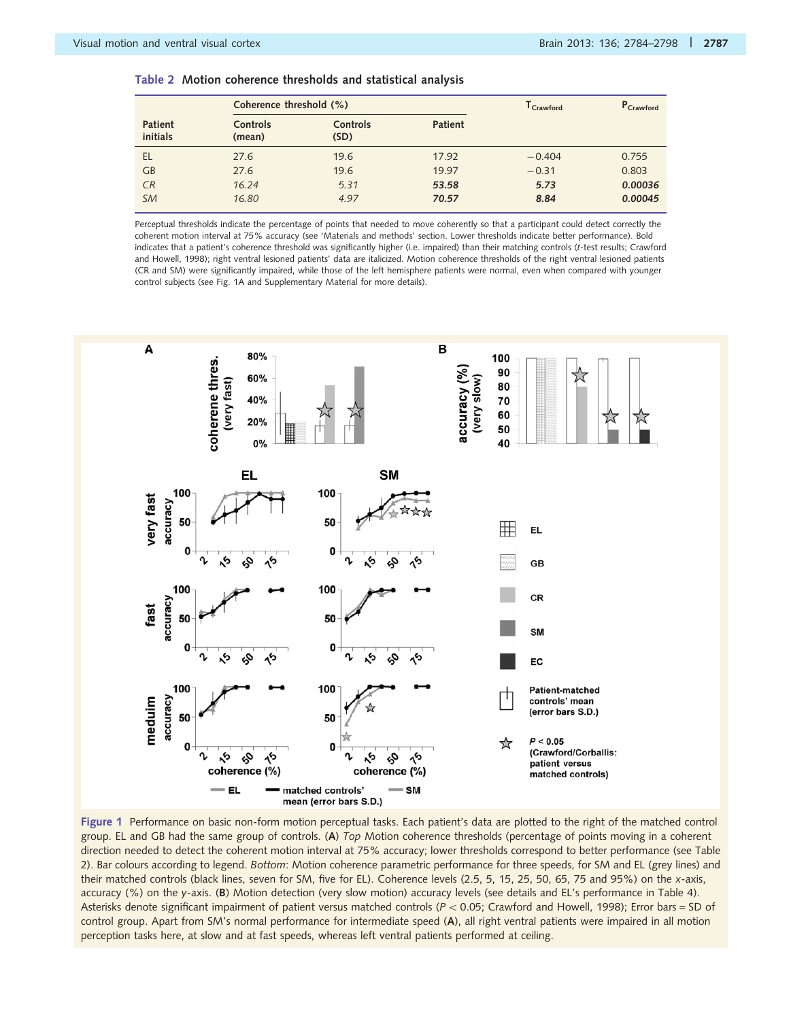<span id="page-3-0"></span>

|  |  |  |  | Table 2  Motion coherence thresholds and statistical analysis |  |  |  |  |
|--|--|--|--|---------------------------------------------------------------|--|--|--|--|
|--|--|--|--|---------------------------------------------------------------|--|--|--|--|

|                            | Coherence threshold (%)   |                         | $T_{Crawford}$ | P <sub>Crawford</sub> |         |
|----------------------------|---------------------------|-------------------------|----------------|-----------------------|---------|
| <b>Patient</b><br>initials | <b>Controls</b><br>(mean) | <b>Controls</b><br>(SD) | <b>Patient</b> |                       |         |
| EL                         | 27.6                      | 19.6                    | 17.92          | $-0.404$              | 0.755   |
| GB                         | 27.6                      | 19.6                    | 19.97          | $-0.31$               | 0.803   |
| CR                         | 16.24                     | 5.31                    | 53.58          | 5.73                  | 0.00036 |
| <b>SM</b>                  | 16.80                     | 4.97                    | 70.57          | 8.84                  | 0.00045 |

Perceptual thresholds indicate the percentage of points that needed to move coherently so that a participant could detect correctly the coherent motion interval at 75% accuracy (see 'Materials and methods' section. Lower thresholds indicate better performance). Bold indicates that a patient's coherence threshold was significantly higher (i.e. impaired) than their matching controls (t-test results; [Crawford](#page-12-0) [and Howell, 1998\)](#page-12-0); right ventral lesioned patients' data are italicized. Motion coherence thresholds of the right ventral lesioned patients (CR and SM) were significantly impaired, while those of the left hemisphere patients were normal, even when compared with younger control subjects (see Fig. 1A and [Supplementary Material](http://brain.oxfordjournals.org/lookup/suppl/doi:10.1093/brain/awt214/-/DC1) for more details).



Figure 1 Performance on basic non-form motion perceptual tasks. Each patient's data are plotted to the right of the matched control group. EL and GB had the same group of controls. (A) Top Motion coherence thresholds (percentage of points moving in a coherent direction needed to detect the coherent motion interval at 75% accuracy; lower thresholds correspond to better performance (see Table 2). Bar colours according to legend. Bottom: Motion coherence parametric performance for three speeds, for SM and EL (grey lines) and their matched controls (black lines, seven for SM, five for EL). Coherence levels (2.5, 5, 15, 25, 50, 65, 75 and 95%) on the x-axis, accuracy (%) on the y-axis. (B) Motion detection (very slow motion) accuracy levels (see details and EL's performance in [Table 4](#page-6-0)). Asterisks denote significant impairment of patient versus matched controls ( $P < 0.05$ ; [Crawford and Howell, 1998](#page-12-0)); Error bars = SD of control group. Apart from SM's normal performance for intermediate speed (A), all right ventral patients were impaired in all motion perception tasks here, at slow and at fast speeds, whereas left ventral patients performed at ceiling.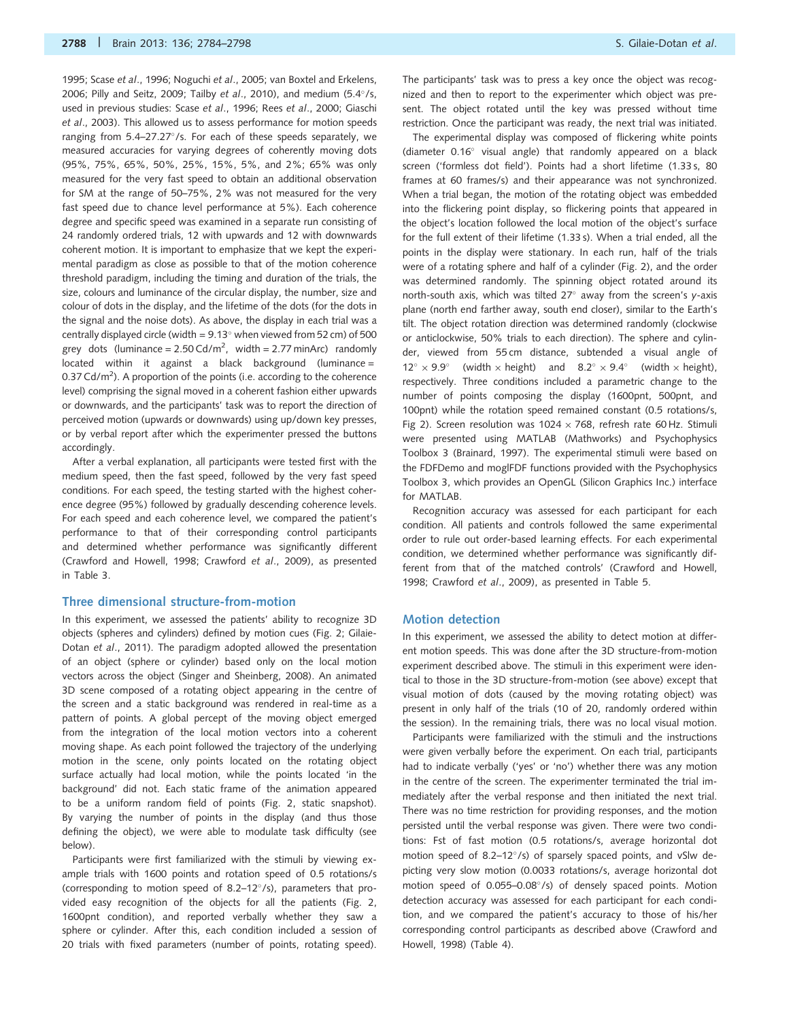[1995;](#page-14-0) Scase et al[., 1996](#page-14-0); [Noguchi](#page-13-0) et al., 2005; [van Boxtel and Erkelens,](#page-14-0) [2006;](#page-14-0) [Pilly and Seitz, 2009](#page-13-0); Tailby et al[., 2010\)](#page-14-0), and medium  $(5.4^{\circ}/s,$ used in previous studies: Scase et al[., 1996](#page-14-0); Rees et al[., 2000;](#page-14-0) [Giaschi](#page-12-0) et al[., 2003](#page-12-0)). This allowed us to assess performance for motion speeds ranging from 5.4-27.27°/s. For each of these speeds separately, we measured accuracies for varying degrees of coherently moving dots (95%, 75%, 65%, 50%, 25%, 15%, 5%, and 2%; 65% was only measured for the very fast speed to obtain an additional observation for SM at the range of 50–75%, 2% was not measured for the very fast speed due to chance level performance at 5%). Each coherence degree and specific speed was examined in a separate run consisting of 24 randomly ordered trials, 12 with upwards and 12 with downwards coherent motion. It is important to emphasize that we kept the experimental paradigm as close as possible to that of the motion coherence threshold paradigm, including the timing and duration of the trials, the size, colours and luminance of the circular display, the number, size and colour of dots in the display, and the lifetime of the dots (for the dots in the signal and the noise dots). As above, the display in each trial was a centrally displayed circle (width =  $9.13^{\circ}$  when viewed from 52 cm) of 500 grey dots (luminance =  $2.50 \text{Cd/m}^2$ , width =  $2.77 \text{ minArc}$ ) randomly located within it against a black background (luminance = 0.37 Cd/m<sup>2</sup>). A proportion of the points (i.e. according to the coherence level) comprising the signal moved in a coherent fashion either upwards or downwards, and the participants' task was to report the direction of perceived motion (upwards or downwards) using up/down key presses, or by verbal report after which the experimenter pressed the buttons accordingly.

After a verbal explanation, all participants were tested first with the medium speed, then the fast speed, followed by the very fast speed conditions. For each speed, the testing started with the highest coherence degree (95%) followed by gradually descending coherence levels. For each speed and each coherence level, we compared the patient's performance to that of their corresponding control participants and determined whether performance was significantly different ([Crawford and Howell, 1998](#page-12-0); [Crawford](#page-12-0) et al., 2009), as presented in [Table 3.](#page-5-0)

#### Three dimensional structure-from-motion

In this experiment, we assessed the patients' ability to recognize 3D objects (spheres and cylinders) defined by motion cues [\(Fig. 2;](#page-6-0) [Gilaie-](#page-12-0)Dotan et al[., 2011](#page-12-0)). The paradigm adopted allowed the presentation of an object (sphere or cylinder) based only on the local motion vectors across the object [\(Singer and Sheinberg, 2008\)](#page-14-0). An animated 3D scene composed of a rotating object appearing in the centre of the screen and a static background was rendered in real-time as a pattern of points. A global percept of the moving object emerged from the integration of the local motion vectors into a coherent moving shape. As each point followed the trajectory of the underlying motion in the scene, only points located on the rotating object surface actually had local motion, while the points located 'in the background' did not. Each static frame of the animation appeared to be a uniform random field of points [\(Fig. 2](#page-6-0), static snapshot). By varying the number of points in the display (and thus those defining the object), we were able to modulate task difficulty (see below).

Participants were first familiarized with the stimuli by viewing example trials with 1600 points and rotation speed of 0.5 rotations/s (corresponding to motion speed of 8.2-12°/s), parameters that provided easy recognition of the objects for all the patients [\(Fig. 2,](#page-6-0) 1600pnt condition), and reported verbally whether they saw a sphere or cylinder. After this, each condition included a session of 20 trials with fixed parameters (number of points, rotating speed).

The participants' task was to press a key once the object was recognized and then to report to the experimenter which object was present. The object rotated until the key was pressed without time restriction. Once the participant was ready, the next trial was initiated.

The experimental display was composed of flickering white points (diameter 0.16° visual angle) that randomly appeared on a black screen ('formless dot field'). Points had a short lifetime (1.33 s, 80 frames at 60 frames/s) and their appearance was not synchronized. When a trial began, the motion of the rotating object was embedded into the flickering point display, so flickering points that appeared in the object's location followed the local motion of the object's surface for the full extent of their lifetime (1.33 s). When a trial ended, all the points in the display were stationary. In each run, half of the trials were of a rotating sphere and half of a cylinder ([Fig. 2](#page-6-0)), and the order was determined randomly. The spinning object rotated around its north-south axis, which was tilted  $27^{\circ}$  away from the screen's y-axis plane (north end farther away, south end closer), similar to the Earth's tilt. The object rotation direction was determined randomly (clockwise or anticlockwise, 50% trials to each direction). The sphere and cylinder, viewed from 55 cm distance, subtended a visual angle of  $12^{\circ} \times 9.9^{\circ}$  (width  $\times$  height) and  $8.2^{\circ} \times 9.4^{\circ}$  (width  $\times$  height), respectively. Three conditions included a parametric change to the number of points composing the display (1600pnt, 500pnt, and 100pnt) while the rotation speed remained constant (0.5 rotations/s, [Fig 2\)](#page-6-0). Screen resolution was 1024  $\times$  768, refresh rate 60 Hz. Stimuli were presented using MATLAB (Mathworks) and Psychophysics Toolbox 3 ([Brainard, 1997](#page-12-0)). The experimental stimuli were based on the FDFDemo and moglFDF functions provided with the Psychophysics Toolbox 3, which provides an OpenGL (Silicon Graphics Inc.) interface for MATLAB.

Recognition accuracy was assessed for each participant for each condition. All patients and controls followed the same experimental order to rule out order-based learning effects. For each experimental condition, we determined whether performance was significantly different from that of the matched controls' [\(Crawford and Howell,](#page-12-0) [1998; Crawford](#page-12-0) et al., 2009), as presented in [Table 5](#page-7-0).

#### Motion detection

In this experiment, we assessed the ability to detect motion at different motion speeds. This was done after the 3D structure-from-motion experiment described above. The stimuli in this experiment were identical to those in the 3D structure-from-motion (see above) except that visual motion of dots (caused by the moving rotating object) was present in only half of the trials (10 of 20, randomly ordered within the session). In the remaining trials, there was no local visual motion.

Participants were familiarized with the stimuli and the instructions were given verbally before the experiment. On each trial, participants had to indicate verbally ('yes' or 'no') whether there was any motion in the centre of the screen. The experimenter terminated the trial immediately after the verbal response and then initiated the next trial. There was no time restriction for providing responses, and the motion persisted until the verbal response was given. There were two conditions: Fst of fast motion (0.5 rotations/s, average horizontal dot motion speed of 8.2-12°/s) of sparsely spaced points, and vSlw depicting very slow motion (0.0033 rotations/s, average horizontal dot motion speed of 0.055-0.08°/s) of densely spaced points. Motion detection accuracy was assessed for each participant for each condition, and we compared the patient's accuracy to those of his/her corresponding control participants as described above [\(Crawford and](#page-12-0) [Howell, 1998\)](#page-12-0) [\(Table 4\)](#page-6-0).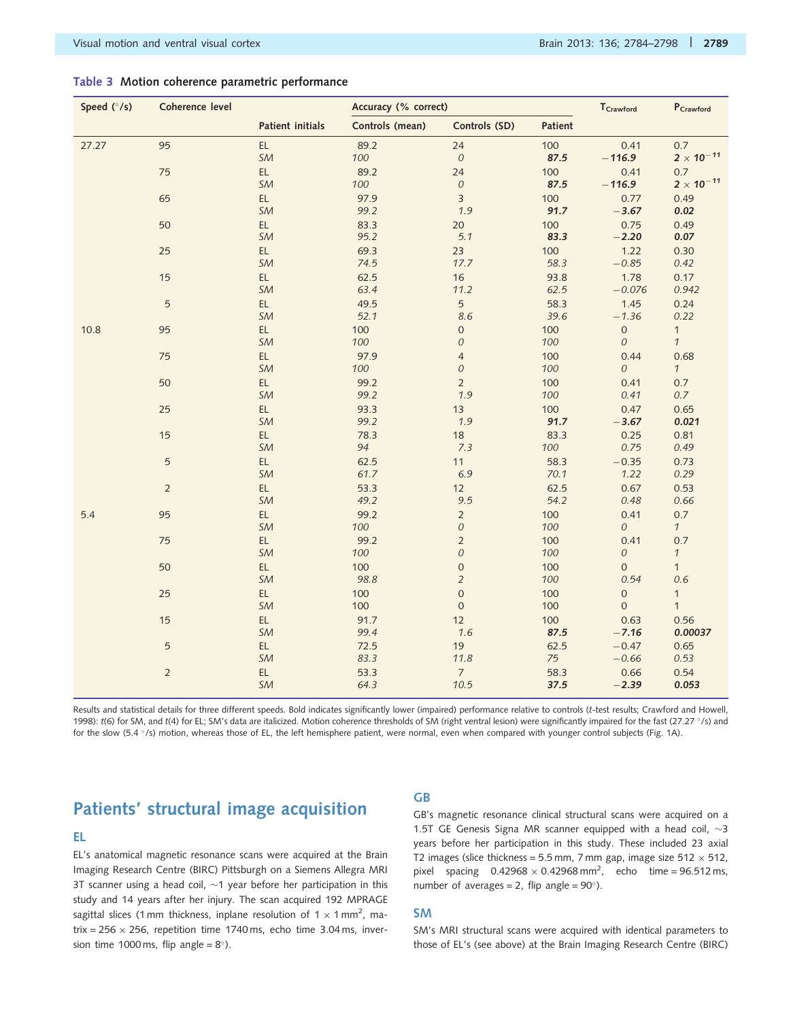#### <span id="page-5-0"></span>Table 3 Motion coherence parametric performance

| Speed (°/s) | Coherence level |                     |                 | Accuracy (% correct)              |                |                                    | $P_{Crawford}$                |
|-------------|-----------------|---------------------|-----------------|-----------------------------------|----------------|------------------------------------|-------------------------------|
|             |                 | Patient initials    | Controls (mean) | Controls (SD)                     | <b>Patient</b> |                                    |                               |
| 27.27       | 95              | EL<br>SM            | 89.2<br>100     | 24<br>${\cal O}$                  | 100<br>87.5    | 0.41<br>$-116.9$                   | 0.7<br>$2 \times 10^{-11}$    |
|             | 75              | EL<br>SM            | 89.2<br>100     | 24<br>${\cal O}$                  | 100<br>87.5    | 0.41<br>$-116.9$                   | 0.7<br>$2 \times 10^{-11}$    |
|             | 65              | EL<br>SM            | 97.9<br>99.2    | $\overline{3}$<br>1.9             | 100<br>91.7    | 0.77<br>$-3.67$                    | 0.49<br>0.02                  |
|             | 50              | EL.<br>SM           | 83.3<br>95.2    | 20<br>5.1                         | 100<br>83.3    | 0.75<br>$-2.20$                    | 0.49<br>0.07                  |
|             | 25              | EL<br>SM            | 69.3<br>74.5    | 23<br>17.7                        | 100<br>58.3    | 1.22<br>$-0.85$                    | 0.30<br>0.42                  |
|             | 15              | EL<br>SM            | 62.5<br>63.4    | 16<br>11.2                        | 93.8<br>62.5   | 1.78<br>$-0.076$                   | 0.17<br>0.942                 |
|             | $\sqrt{5}$      | EL<br>SM            | 49.5<br>52.1    | 5<br>8.6                          | 58.3<br>39.6   | 1.45<br>$-1.36$                    | 0.24<br>0.22                  |
| 10.8        | 95              | EL<br>SM            | 100<br>100      | $\mathsf{O}\xspace$<br>${\cal O}$ | 100<br>100     | $\mathsf{O}\xspace$<br>$\cal O$    | $\mathbf{1}$<br>$\mathcal{I}$ |
|             | 75              | EL<br>SM            | 97.9<br>100     | $\overline{4}$<br>${\cal O}$      | 100<br>100     | 0.44<br>0                          | 0.68<br>$\mathcal{I}$         |
|             | 50              | EL<br>SM            | 99.2<br>99.2    | $\overline{2}$<br>1.9             | 100<br>100     | 0.41<br>0.41                       | 0.7<br>0.7                    |
|             | 25              | EL<br>SM            | 93.3<br>99.2    | 13<br>1.9                         | 100<br>91.7    | 0.47<br>$-3.67$                    | 0.65<br>0.021                 |
|             | 15              | EL.<br>SM           | 78.3<br>94      | 18<br>7.3                         | 83.3<br>100    | 0.25<br>0.75                       | 0.81<br>0.49                  |
|             | $\sqrt{5}$      | EL<br>SM            | 62.5<br>61.7    | 11<br>6.9                         | 58.3<br>70.1   | $-0.35$<br>1.22                    | 0.73<br>0.29                  |
|             | $\overline{2}$  | EL<br>SM            | 53.3<br>49.2    | 12<br>9.5                         | 62.5<br>54.2   | 0.67<br>0.48                       | 0.53<br>0.66                  |
| 5.4         | 95              | EL<br>SM            | 99.2<br>100     | $\overline{2}$<br>${\cal O}$      | 100<br>100     | 0.41<br>${\cal O}$                 | 0.7<br>$\mathcal{I}$          |
|             | 75              | EL<br>SM            | 99.2<br>100     | $\mathbf 2$<br>$\mathcal O$       | 100<br>100     | 0.41<br>0                          | 0.7<br>$\mathcal{I}$          |
|             | 50              | EL<br>SM            | 100<br>98.8     | $\mathbf 0$<br>$\overline{2}$     | 100<br>100     | $\mathbf 0$<br>0.54                | $\overline{1}$<br>0.6         |
|             | 25              | EL.<br>SM           | 100<br>100      | $\mathbf 0$<br>$\boldsymbol{0}$   | 100<br>100     | $\mathbf 0$<br>$\mathsf{O}\xspace$ | $\mathbf{1}$<br>$\mathbf{1}$  |
|             | 15              | EL<br>SM            | 91.7<br>99.4    | 12<br>1.6                         | 100<br>87.5    | 0.63<br>$-7.16$                    | 0.56<br>0.00037               |
|             | 5               | EL.<br>SM           | 72.5<br>83.3    | 19<br>11.8                        | 62.5<br>75     | $-0.47$<br>$-0.66$                 | 0.65<br>0.53                  |
|             | $\overline{2}$  | $\mathsf{EL}$<br>SM | 53.3<br>64.3    | $\overline{7}$<br>10.5            | 58.3<br>37.5   | 0.66<br>$-2.39$                    | 0.54<br>0.053                 |

Results and statistical details for three different speeds. Bold indicates significantly lower (impaired) performance relative to controls (t-test results; [Crawford and Howell,](#page-12-0) [1998](#page-12-0)): t(6) for SM, and t(4) for EL; SM's data are italicized. Motion coherence thresholds of SM (right ventral lesion) were significantly impaired for the fast (27.27 °/s) and for the slow (5.4 °/s) motion, whereas those of EL, the left hemisphere patient, were normal, even when compared with younger control subjects [\(Fig. 1](#page-3-0)A).

## Patients' structural image acquisition

#### EL

EL's anatomical magnetic resonance scans were acquired at the Brain Imaging Research Centre (BIRC) Pittsburgh on a Siemens Allegra MRI 3T scanner using a head coil,  $\sim$ 1 year before her participation in this study and 14 years after her injury. The scan acquired 192 MPRAGE sagittal slices (1 mm thickness, inplane resolution of 1  $\times$  1 mm<sup>2</sup>, matrix =  $256 \times 256$ , repetition time 1740 ms, echo time 3.04 ms, inversion time 1000 ms, flip angle =  $8^{\circ}$ ).

### GB

GB's magnetic resonance clinical structural scans were acquired on a 1.5T GE Genesis Signa MR scanner equipped with a head coil,  $\sim$ 3 years before her participation in this study. These included 23 axial T2 images (slice thickness = 5.5 mm, 7 mm gap, image size 512  $\times$  512, pixel spacing  $0.42968 \times 0.42968$  mm<sup>2</sup>, echo time = 96.512 ms, number of averages = 2, flip angle =  $90^{\circ}$ ).

#### SM

SM's MRI structural scans were acquired with identical parameters to those of EL's (see above) at the Brain Imaging Research Centre (BIRC)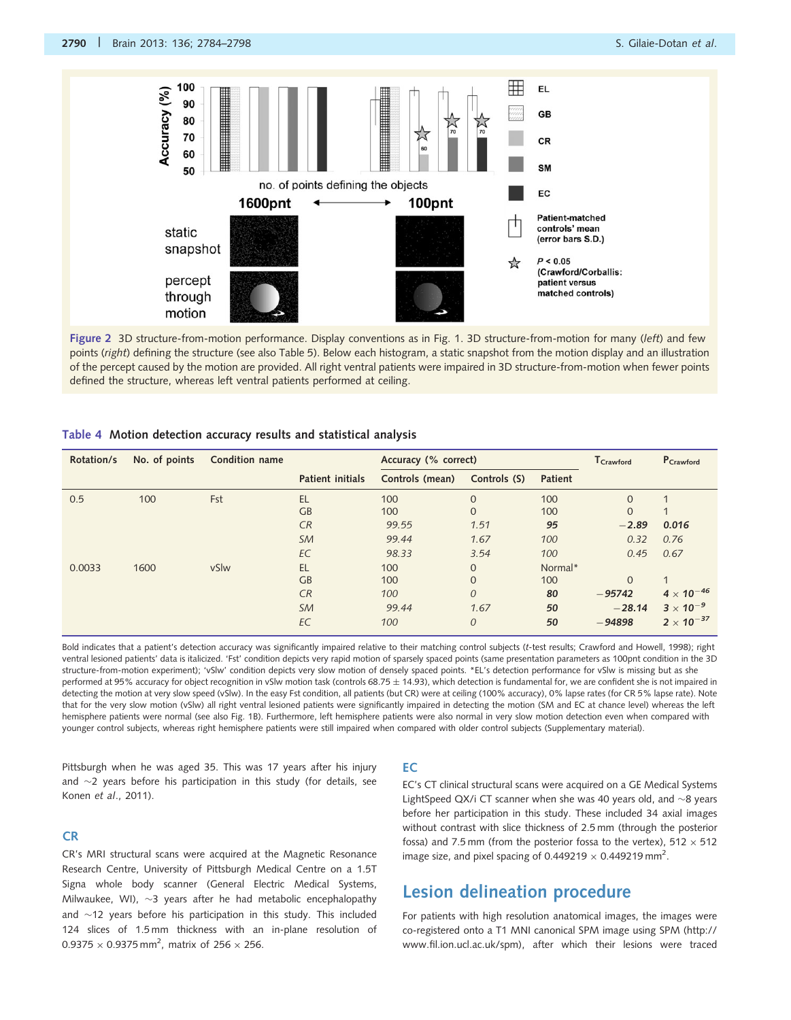<span id="page-6-0"></span>

Figure 2 3D structure-from-motion performance. Display conventions as in [Fig. 1.](#page-3-0) 3D structure-from-motion for many (left) and few points (right) defining the structure (see also [Table 5\)](#page-7-0). Below each histogram, a static snapshot from the motion display and an illustration of the percept caused by the motion are provided. All right ventral patients were impaired in 3D structure-from-motion when fewer points defined the structure, whereas left ventral patients performed at ceiling.

#### Table 4 Motion detection accuracy results and statistical analysis

| Rotation/s | No. of points | Condition name |                         | Accuracy (% correct) |                |                | ${\mathsf T}_{\mathsf{Crawford}}$ | P <sub>Crawford</sub> |
|------------|---------------|----------------|-------------------------|----------------------|----------------|----------------|-----------------------------------|-----------------------|
|            |               |                | <b>Patient initials</b> | Controls (mean)      | Controls (S)   | <b>Patient</b> |                                   |                       |
| 0.5        | 100           | Fst            | <b>EL</b>               | 100                  | $\Omega$       | 100            | $\Omega$                          |                       |
|            |               |                | GB                      | 100                  | $\Omega$       | 100            | $\Omega$                          |                       |
|            |               |                | CR                      | 99.55                | 1.51           | 95             | $-2.89$                           | 0.016                 |
|            |               |                | <b>SM</b>               | 99.44                | 1.67           | 100            | 0.32                              | 0.76                  |
|            |               |                | EC                      | 98.33                | 3.54           | 100            | 0.45                              | 0.67                  |
| 0.0033     | 1600          | vSlw           | <b>EL</b>               | 100                  | $\Omega$       | Normal*        |                                   |                       |
|            |               |                | GB                      | 100                  | $\Omega$       | 100            | $\Omega$                          | $\mathbf{1}$          |
|            |               |                | CR                      | 100                  | $\Omega$       | 80             | $-95742$                          | $4 \times 10^{-46}$   |
|            |               |                | <b>SM</b>               | 99.44                | 1.67           | 50             | $-28.14$                          | $3 \times 10^{-9}$    |
|            |               |                | EC                      | 100                  | $\overline{O}$ | 50             | $-94898$                          | $2 \times 10^{-37}$   |

Bold indicates that a patient's detection accuracy was significantly impaired relative to their matching control subjects (t-test results; [Crawford and Howell, 1998\)](#page-12-0); right ventral lesioned patients' data is italicized. 'Fst' condition depicts very rapid motion of sparsely spaced points (same presentation parameters as 100pnt condition in the 3D structure-from-motion experiment); 'vSlw' condition depicts very slow motion of densely spaced points. \*EL's detection performance for vSlw is missing but as she performed at 95% accuracy for object recognition in vSlw motion task (controls 68.75 ± 14.93), which detection is fundamental for, we are confident she is not impaired in detecting the motion at very slow speed (vSlw). In the easy Fst condition, all patients (but CR) were at ceiling (100% accuracy), 0% lapse rates (for CR 5% lapse rate). Note that for the very slow motion (vSlw) all right ventral lesioned patients were significantly impaired in detecting the motion (SM and EC at chance level) whereas the left hemisphere patients were normal (see also [Fig. 1](#page-3-0)B). Furthermore, left hemisphere patients were also normal in very slow motion detection even when compared with younger control subjects, whereas right hemisphere patients were still impaired when compared with older control subjects [\(Supplementary material\)](http://brain.oxfordjournals.org/lookup/suppl/doi:10.1093/brain/awt214/-/DC1).

Pittsburgh when he was aged 35. This was 17 years after his injury and  $\sim$ 2 years before his participation in this study (for details, see Konen et al[., 2011\)](#page-13-0).

#### CR

CR's MRI structural scans were acquired at the Magnetic Resonance Research Centre, University of Pittsburgh Medical Centre on a 1.5T Signa whole body scanner (General Electric Medical Systems, Milwaukee, WI),  $\sim$ 3 years after he had metabolic encephalopathy and  $\sim$ 12 years before his participation in this study. This included 124 slices of 1.5 mm thickness with an in-plane resolution of 0.9375  $\times$  0.9375 mm<sup>2</sup>, matrix of 256  $\times$  256.

#### EC

EC's CT clinical structural scans were acquired on a GE Medical Systems LightSpeed QX/i CT scanner when she was 40 years old, and  $\sim$ 8 years before her participation in this study. These included 34 axial images without contrast with slice thickness of 2.5 mm (through the posterior fossa) and 7.5 mm (from the posterior fossa to the vertex),  $512 \times 512$ image size, and pixel spacing of 0.449219  $\times$  0.449219 mm<sup>2</sup>.

### Lesion delineation procedure

For patients with high resolution anatomical images, the images were co-registered onto a T1 MNI canonical SPM image using SPM ([http://](http://www.fil.ion.ucl.ac.uk/spm) [www.fil.ion.ucl.ac.uk/spm\)](http://www.fil.ion.ucl.ac.uk/spm), after which their lesions were traced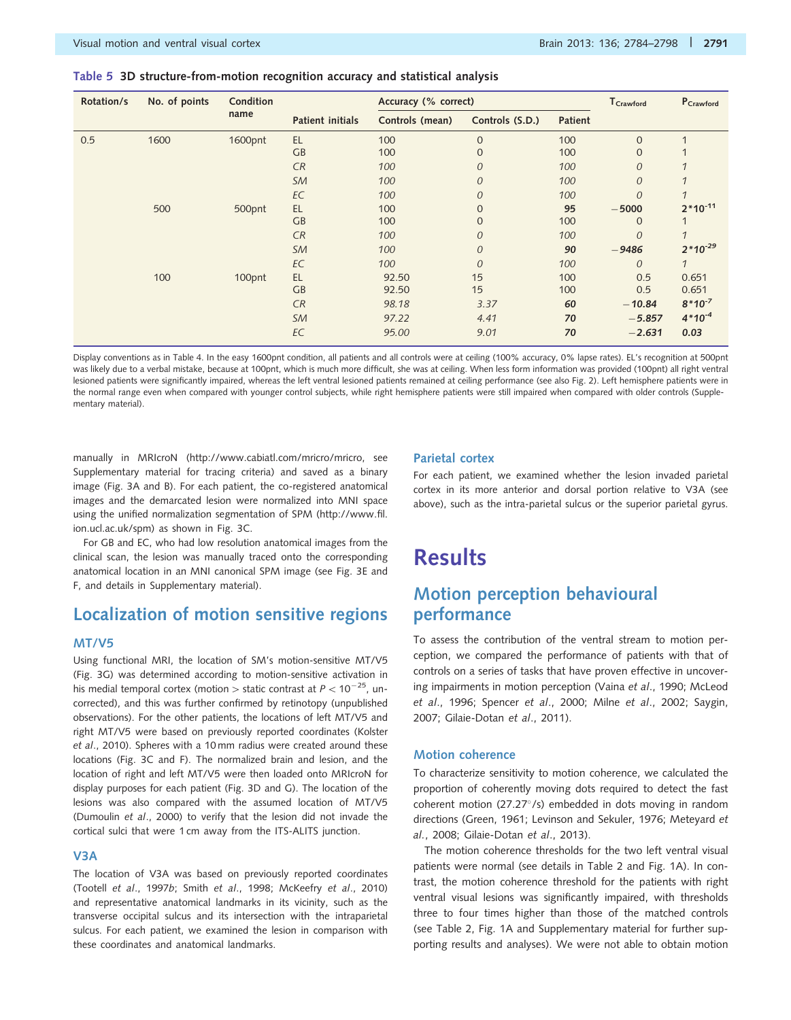#### <span id="page-7-0"></span>Table 5 3D structure-from-motion recognition accuracy and statistical analysis

| Rotation/s | No. of points | Condition |                  | Accuracy (% correct) |                 |                | T <sub>Crawford</sub> | P <sub>Crawford</sub>   |
|------------|---------------|-----------|------------------|----------------------|-----------------|----------------|-----------------------|-------------------------|
|            |               | name      | Patient initials | Controls (mean)      | Controls (S.D.) | <b>Patient</b> |                       |                         |
| 0.5        | 1600          | 1600pnt   | EL               | 100                  | $\mathbf{0}$    | 100            | $\mathbf{0}$          | $\overline{\mathbf{A}}$ |
|            |               |           | GB               | 100                  | $\overline{0}$  | 100            | $\mathbf{0}$          |                         |
|            |               |           | CR               | 100                  | $\overline{O}$  | 100            | $\overline{O}$        | 1                       |
|            |               |           | <b>SM</b>        | 100                  | $\overline{O}$  | 100            | $\overline{O}$        | 1                       |
|            |               |           | EC               | 100                  | $\mathcal{O}$   | 100            | $\overline{O}$        | 1                       |
|            | 500           | 500pnt    | EL               | 100                  | $\mathbf{0}$    | 95             | $-5000$               | $2*10^{-11}$            |
|            |               |           | GB               | 100                  | $\mathbf{0}$    | 100            | $\Omega$              |                         |
|            |               |           | CR               | 100                  | $\overline{O}$  | 100            | $\overline{O}$        | 1                       |
|            |               |           | <b>SM</b>        | 100                  | $\mathcal{O}$   | 90             | $-9486$               | $2*10^{-29}$            |
|            |               |           | EC               | 100                  | $\mathcal{O}$   | 100            | $\Omega$              | $\mathcal{I}$           |
|            | 100           | 100pnt    | <b>EL</b>        | 92.50                | 15              | 100            | 0.5                   | 0.651                   |
|            |               |           | GB               | 92.50                | 15              | 100            | 0.5                   | 0.651                   |
|            |               |           | CR               | 98.18                | 3.37            | 60             | $-10.84$              | $8*10^{-7}$             |
|            |               |           | SM               | 97.22                | 4.41            | 70             | $-5.857$              | $4*10^{-4}$             |
|            |               |           | EC               | 95.00                | 9.01            | 70             | $-2.631$              | 0.03                    |

Display conventions as in [Table 4](#page-6-0). In the easy 1600pnt condition, all patients and all controls were at ceiling (100% accuracy, 0% lapse rates). EL's recognition at 500pnt was likely due to a verbal mistake, because at 100pnt, which is much more difficult, she was at ceiling. When less form information was provided (100pnt) all right ventral lesioned patients were significantly impaired, whereas the left ventral lesioned patients remained at ceiling performance (see also [Fig. 2](#page-6-0)). Left hemisphere patients were in the normal range even when compared with younger control subjects, while right hemisphere patients were still impaired when compared with older controls ([Supple](http://brain.oxfordjournals.org/lookup/suppl/doi:10.1093/brain/awt214/-/DC1)[mentary material\)](http://brain.oxfordjournals.org/lookup/suppl/doi:10.1093/brain/awt214/-/DC1).

manually in MRIcroN ([http://www.cabiatl.com/mricro/mricro,](http://brain.oxfordjournals.org/lookup/suppl/doi:10.1093/brain/awt214/-/DC1) see [Supplementary material](http://brain.oxfordjournals.org/lookup/suppl/doi:10.1093/brain/awt214/-/DC1) for tracing criteria) and saved as a binary image [\(Fig. 3A](#page-8-0) and B). For each patient, the co-registered anatomical images and the demarcated lesion were normalized into MNI space using the unified normalization segmentation of SPM ([http://www.fil.](http://www.fil.ion.ucl.ac.uk/spm) [ion.ucl.ac.uk/spm](http://www.fil.ion.ucl.ac.uk/spm)) as shown in [Fig. 3](#page-8-0)C.

For GB and EC, who had low resolution anatomical images from the clinical scan, the lesion was manually traced onto the corresponding anatomical location in an MNI canonical SPM image (see [Fig. 3E](#page-8-0) and F, and details in [Supplementary material\)](http://brain.oxfordjournals.org/lookup/suppl/doi:10.1093/brain/awt214/-/DC1).

### Localization of motion sensitive regions

#### MT/V5

Using functional MRI, the location of SM's motion-sensitive MT/V5 [\(Fig. 3G](#page-8-0)) was determined according to motion-sensitive activation in his medial temporal cortex (motion > static contrast at  $P < 10^{-25}$ , uncorrected), and this was further confirmed by retinotopy (unpublished observations). For the other patients, the locations of left MT/V5 and right MT/V5 were based on previously reported coordinates [\(Kolster](#page-13-0) et al[., 2010](#page-13-0)). Spheres with a 10 mm radius were created around these locations [\(Fig. 3C](#page-8-0) and F). The normalized brain and lesion, and the location of right and left MT/V5 were then loaded onto MRIcroN for display purposes for each patient ([Fig. 3](#page-8-0)D and G). The location of the lesions was also compared with the assumed location of MT/V5 [\(Dumoulin](#page-12-0) et al., 2000) to verify that the lesion did not invade the cortical sulci that were 1 cm away from the ITS-ALITS junction.

#### V3A

The location of V3A was based on previously reported coordinates (Tootell et al[., 1997](#page-14-0)b; Smith et al[., 1998;](#page-14-0) [McKeefry](#page-13-0) et al., 2010) and representative anatomical landmarks in its vicinity, such as the transverse occipital sulcus and its intersection with the intraparietal sulcus. For each patient, we examined the lesion in comparison with these coordinates and anatomical landmarks.

#### Parietal cortex

For each patient, we examined whether the lesion invaded parietal cortex in its more anterior and dorsal portion relative to V3A (see above), such as the intra-parietal sulcus or the superior parietal gyrus.

## **Results**

### Motion perception behavioural performance

To assess the contribution of the ventral stream to motion perception, we compared the performance of patients with that of controls on a series of tasks that have proven effective in uncovering impairments in motion perception (Vaina et al[., 1990;](#page-14-0) [McLeod](#page-13-0) et al[., 1996;](#page-13-0) [Spencer](#page-14-0) et al., 2000; Milne et al[., 2002](#page-13-0); [Saygin,](#page-14-0) [2007](#page-14-0); [Gilaie-Dotan](#page-12-0) et al., 2011).

#### Motion coherence

To characterize sensitivity to motion coherence, we calculated the proportion of coherently moving dots required to detect the fast coherent motion (27.27°/s) embedded in dots moving in random directions ([Green, 1961](#page-13-0); [Levinson and Sekuler, 1976; Meteyard](#page-13-0) et al.[, 2008](#page-13-0); [Gilaie-Dotan](#page-12-0) et al., 2013).

The motion coherence thresholds for the two left ventral visual patients were normal (see details in [Table 2](#page-3-0) and [Fig. 1A](#page-3-0)). In contrast, the motion coherence threshold for the patients with right ventral visual lesions was significantly impaired, with thresholds three to four times higher than those of the matched controls (see [Table 2, Fig. 1](#page-3-0)A and [Supplementary material](http://brain.oxfordjournals.org/lookup/suppl/doi:10.1093/brain/awt214/-/DC1) for further supporting results and analyses). We were not able to obtain motion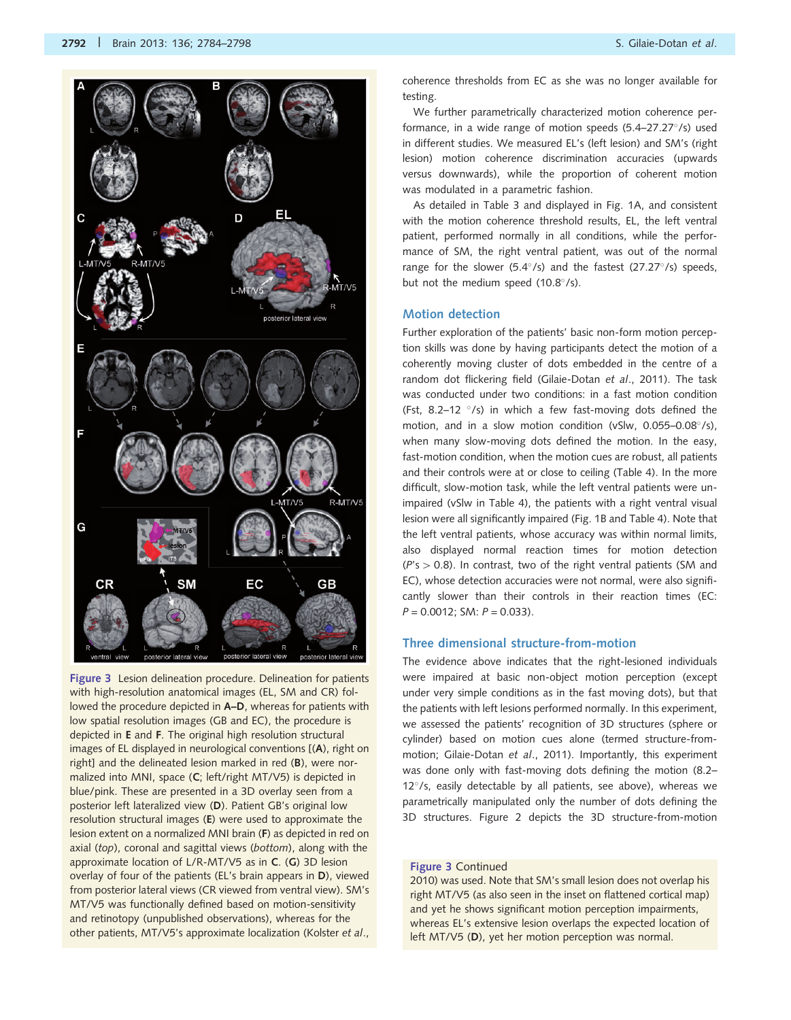

<span id="page-8-0"></span>

Figure 3 Lesion delineation procedure. Delineation for patients with high-resolution anatomical images (EL, SM and CR) followed the procedure depicted in A–D, whereas for patients with low spatial resolution images (GB and EC), the procedure is depicted in E and F. The original high resolution structural images of EL displayed in neurological conventions [(A), right on right] and the delineated lesion marked in red (B), were normalized into MNI, space (C; left/right MT/V5) is depicted in blue/pink. These are presented in a 3D overlay seen from a posterior left lateralized view (D). Patient GB's original low resolution structural images (E) were used to approximate the lesion extent on a normalized MNI brain (F) as depicted in red on axial (top), coronal and sagittal views (bottom), along with the approximate location of L/R-MT/V5 as in C. (G) 3D lesion overlay of four of the patients (EL's brain appears in D), viewed from posterior lateral views (CR viewed from ventral view). SM's MT/V5 was functionally defined based on motion-sensitivity and retinotopy (unpublished observations), whereas for the other patients, MT/V5's approximate localization ([Kolster](#page-13-0) et al.,

coherence thresholds from EC as she was no longer available for testing.

We further parametrically characterized motion coherence performance, in a wide range of motion speeds (5.4-27.27°/s) used in different studies. We measured EL's (left lesion) and SM's (right lesion) motion coherence discrimination accuracies (upwards versus downwards), while the proportion of coherent motion was modulated in a parametric fashion.

As detailed in [Table 3](#page-5-0) and displayed in [Fig. 1](#page-3-0)A, and consistent with the motion coherence threshold results, EL, the left ventral patient, performed normally in all conditions, while the performance of SM, the right ventral patient, was out of the normal range for the slower (5.4 $\degree$ /s) and the fastest (27.27 $\degree$ /s) speeds, but not the medium speed (10.8°/s).

#### Motion detection

Further exploration of the patients' basic non-form motion perception skills was done by having participants detect the motion of a coherently moving cluster of dots embedded in the centre of a random dot flickering field ([Gilaie-Dotan](#page-12-0) et al., 2011). The task was conducted under two conditions: in a fast motion condition (Fst, 8.2-12  $\degree$ /s) in which a few fast-moving dots defined the motion, and in a slow motion condition (vSlw, 0.055-0.08°/s), when many slow-moving dots defined the motion. In the easy, fast-motion condition, when the motion cues are robust, all patients and their controls were at or close to ceiling [\(Table 4](#page-6-0)). In the more difficult, slow-motion task, while the left ventral patients were unimpaired (vSlw in [Table 4\)](#page-6-0), the patients with a right ventral visual lesion were all significantly impaired ([Fig. 1B](#page-3-0) and [Table 4](#page-6-0)). Note that the left ventral patients, whose accuracy was within normal limits, also displayed normal reaction times for motion detection  $(P's > 0.8)$ . In contrast, two of the right ventral patients (SM and EC), whose detection accuracies were not normal, were also significantly slower than their controls in their reaction times (EC:  $P = 0.0012$ ; SM:  $P = 0.033$ ).

#### Three dimensional structure-from-motion

The evidence above indicates that the right-lesioned individuals were impaired at basic non-object motion perception (except under very simple conditions as in the fast moving dots), but that the patients with left lesions performed normally. In this experiment, we assessed the patients' recognition of 3D structures (sphere or cylinder) based on motion cues alone (termed structure-frommotion; [Gilaie-Dotan](#page-12-0) et al., 2011). Importantly, this experiment was done only with fast-moving dots defining the motion (8.2– 12°/s, easily detectable by all patients, see above), whereas we parametrically manipulated only the number of dots defining the 3D structures. [Figure 2](#page-6-0) depicts the 3D structure-from-motion

#### Figure 3 [Continued](#page-13-0)

[2010\)](#page-13-0) was used. Note that SM's small lesion does not overlap his right MT/V5 (as also seen in the inset on flattened cortical map) and yet he shows significant motion perception impairments, whereas EL's extensive lesion overlaps the expected location of left MT/V5 (D), yet her motion perception was normal.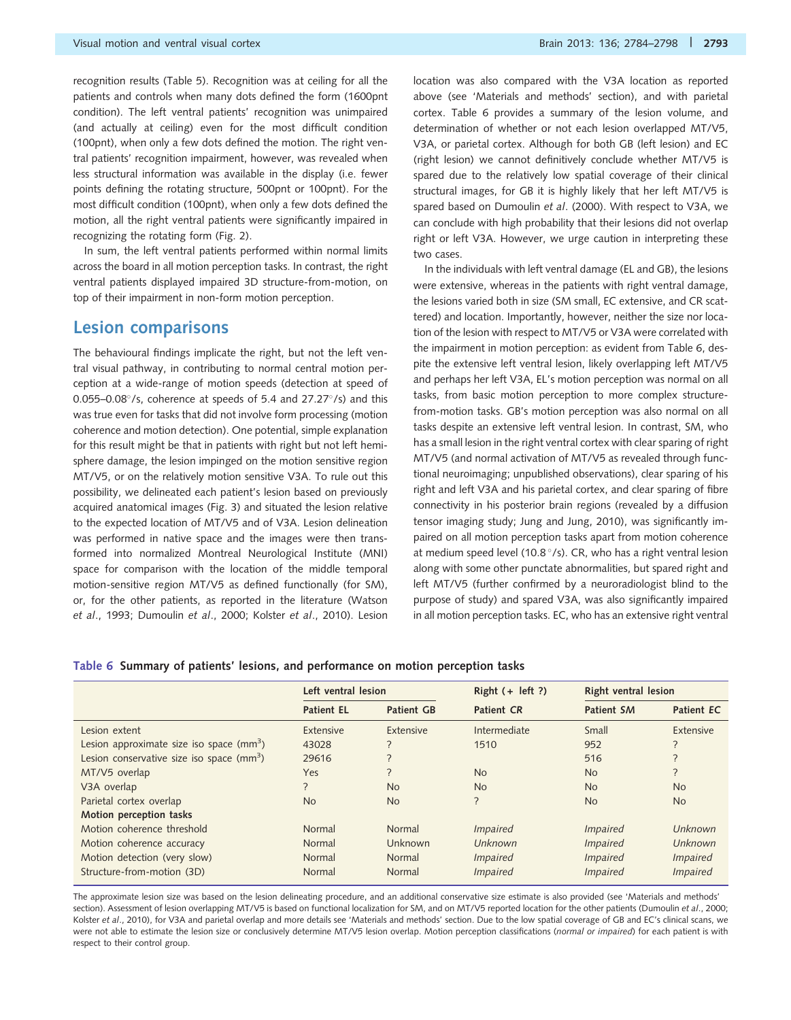recognition results [\(Table 5\)](#page-7-0). Recognition was at ceiling for all the patients and controls when many dots defined the form (1600pnt condition). The left ventral patients' recognition was unimpaired (and actually at ceiling) even for the most difficult condition (100pnt), when only a few dots defined the motion. The right ventral patients' recognition impairment, however, was revealed when less structural information was available in the display (i.e. fewer points defining the rotating structure, 500pnt or 100pnt). For the most difficult condition (100pnt), when only a few dots defined the motion, all the right ventral patients were significantly impaired in recognizing the rotating form ([Fig. 2](#page-6-0)).

In sum, the left ventral patients performed within normal limits across the board in all motion perception tasks. In contrast, the right ventral patients displayed impaired 3D structure-from-motion, on top of their impairment in non-form motion perception.

### Lesion comparisons

The behavioural findings implicate the right, but not the left ventral visual pathway, in contributing to normal central motion perception at a wide-range of motion speeds (detection at speed of  $0.055 - 0.08^{\circ}/s$ , coherence at speeds of 5.4 and 27.27 $^{\circ}/s$ ) and this was true even for tasks that did not involve form processing (motion coherence and motion detection). One potential, simple explanation for this result might be that in patients with right but not left hemisphere damage, the lesion impinged on the motion sensitive region MT/V5, or on the relatively motion sensitive V3A. To rule out this possibility, we delineated each patient's lesion based on previously acquired anatomical images [\(Fig. 3\)](#page-8-0) and situated the lesion relative to the expected location of MT/V5 and of V3A. Lesion delineation was performed in native space and the images were then transformed into normalized Montreal Neurological Institute (MNI) space for comparison with the location of the middle temporal motion-sensitive region MT/V5 as defined functionally (for SM), or, for the other patients, as reported in the literature [\(Watson](#page-14-0) et al[., 1993;](#page-14-0) [Dumoulin](#page-12-0) et al., 2000; Kolster et al[., 2010\)](#page-13-0). Lesion

location was also compared with the V3A location as reported above (see 'Materials and methods' section), and with parietal cortex. Table 6 provides a summary of the lesion volume, and determination of whether or not each lesion overlapped MT/V5, V3A, or parietal cortex. Although for both GB (left lesion) and EC (right lesion) we cannot definitively conclude whether MT/V5 is spared due to the relatively low spatial coverage of their clinical structural images, for GB it is highly likely that her left MT/V5 is spared based on [Dumoulin](#page-12-0) et al. (2000). With respect to V3A, we can conclude with high probability that their lesions did not overlap right or left V3A. However, we urge caution in interpreting these two cases.

In the individuals with left ventral damage (EL and GB), the lesions were extensive, whereas in the patients with right ventral damage, the lesions varied both in size (SM small, EC extensive, and CR scattered) and location. Importantly, however, neither the size nor location of the lesion with respect to MT/V5 or V3A were correlated with the impairment in motion perception: as evident from Table 6, despite the extensive left ventral lesion, likely overlapping left MT/V5 and perhaps her left V3A, EL's motion perception was normal on all tasks, from basic motion perception to more complex structurefrom-motion tasks. GB's motion perception was also normal on all tasks despite an extensive left ventral lesion. In contrast, SM, who has a small lesion in the right ventral cortex with clear sparing of right MT/V5 (and normal activation of MT/V5 as revealed through functional neuroimaging; unpublished observations), clear sparing of his right and left V3A and his parietal cortex, and clear sparing of fibre connectivity in his posterior brain regions (revealed by a diffusion tensor imaging study; [Jung and Jung, 2010](#page-13-0)), was significantly impaired on all motion perception tasks apart from motion coherence at medium speed level (10.8 $^{\circ}$ /s). CR, who has a right ventral lesion along with some other punctate abnormalities, but spared right and left MT/V5 (further confirmed by a neuroradiologist blind to the purpose of study) and spared V3A, was also significantly impaired in all motion perception tasks. EC, who has an extensive right ventral

#### Table 6 Summary of patients' lesions, and performance on motion perception tasks

|                                            | Left ventral lesion      |                   | Right $(+$ left ?) |                 | Right ventral lesion |  |
|--------------------------------------------|--------------------------|-------------------|--------------------|-----------------|----------------------|--|
|                                            | <b>Patient EL</b>        | <b>Patient GB</b> | <b>Patient CR</b>  | Patient SM      | Patient EC           |  |
| Lesion extent                              | Extensive                | Extensive         | Intermediate       | Small           | Extensive            |  |
| Lesion approximate size iso space $(mm^3)$ | 43028                    |                   | 1510               | 952             |                      |  |
| Lesion conservative size iso space $(mm3)$ | 29616                    | ?                 |                    | 516             |                      |  |
| MT/V5 overlap                              | <b>Yes</b>               | ?                 | <b>No</b>          | <b>No</b>       | ?                    |  |
| V3A overlap                                | $\overline{\phantom{0}}$ | <b>No</b>         | <b>No</b>          | <b>No</b>       | <b>No</b>            |  |
| Parietal cortex overlap                    | <b>No</b>                | <b>No</b>         | $\overline{?}$     | <b>No</b>       | <b>No</b>            |  |
| Motion perception tasks                    |                          |                   |                    |                 |                      |  |
| Motion coherence threshold                 | Normal                   | Normal            | <i>Impaired</i>    | <i>Impaired</i> | <b>Unknown</b>       |  |
| Motion coherence accuracy                  | Normal                   | Unknown           | Unknown            | <i>Impaired</i> | Unknown              |  |
| Motion detection (very slow)               | Normal                   | Normal            | <i>Impaired</i>    | <i>Impaired</i> | <i>Impaired</i>      |  |
| Structure-from-motion (3D)                 | Normal                   | Normal            | <i>Impaired</i>    | <i>Impaired</i> | <i>Impaired</i>      |  |

The approximate lesion size was based on the lesion delineating procedure, and an additional conservative size estimate is also provided (see 'Materials and methods' section). Assessment of lesion overlapping MT/V5 is based on functional localization for SM, and on MT/V5 reported location for the other patients [\(Dumoulin](#page-12-0) et al., 2000; Kolster et al[., 2010\)](#page-13-0), for V3A and parietal overlap and more details see 'Materials and methods' section. Due to the low spatial coverage of GB and EC's clinical scans, we were not able to estimate the lesion size or conclusively determine MT/V5 lesion overlap. Motion perception classifications (normal or impaired) for each patient is with respect to their control group.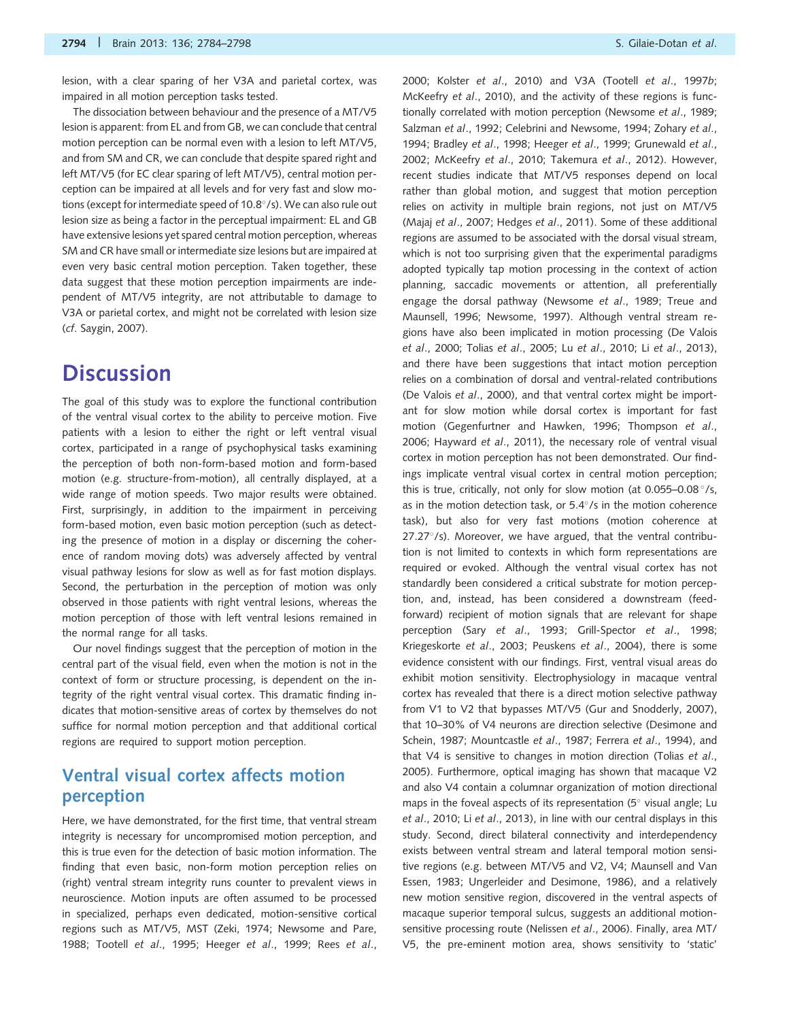lesion, with a clear sparing of her V3A and parietal cortex, was impaired in all motion perception tasks tested.

The dissociation between behaviour and the presence of a MT/V5 lesion is apparent: from EL and from GB, we can conclude that central motion perception can be normal even with a lesion to left MT/V5, and from SM and CR, we can conclude that despite spared right and left MT/V5 (for EC clear sparing of left MT/V5), central motion perception can be impaired at all levels and for very fast and slow motions (except for intermediate speed of 10.8°/s). We can also rule out lesion size as being a factor in the perceptual impairment: EL and GB have extensive lesions yet spared central motion perception, whereas SM and CR have small or intermediate size lesions but are impaired at even very basic central motion perception. Taken together, these data suggest that these motion perception impairments are independent of MT/V5 integrity, are not attributable to damage to V3A or parietal cortex, and might not be correlated with lesion size (cf. [Saygin, 2007\)](#page-14-0).

## **Discussion**

The goal of this study was to explore the functional contribution of the ventral visual cortex to the ability to perceive motion. Five patients with a lesion to either the right or left ventral visual cortex, participated in a range of psychophysical tasks examining the perception of both non-form-based motion and form-based motion (e.g. structure-from-motion), all centrally displayed, at a wide range of motion speeds. Two major results were obtained. First, surprisingly, in addition to the impairment in perceiving form-based motion, even basic motion perception (such as detecting the presence of motion in a display or discerning the coherence of random moving dots) was adversely affected by ventral visual pathway lesions for slow as well as for fast motion displays. Second, the perturbation in the perception of motion was only observed in those patients with right ventral lesions, whereas the motion perception of those with left ventral lesions remained in the normal range for all tasks.

Our novel findings suggest that the perception of motion in the central part of the visual field, even when the motion is not in the context of form or structure processing, is dependent on the integrity of the right ventral visual cortex. This dramatic finding indicates that motion-sensitive areas of cortex by themselves do not suffice for normal motion perception and that additional cortical regions are required to support motion perception.

### Ventral visual cortex affects motion perception

Here, we have demonstrated, for the first time, that ventral stream integrity is necessary for uncompromised motion perception, and this is true even for the detection of basic motion information. The finding that even basic, non-form motion perception relies on (right) ventral stream integrity runs counter to prevalent views in neuroscience. Motion inputs are often assumed to be processed in specialized, perhaps even dedicated, motion-sensitive cortical regions such as MT/V5, MST ([Zeki, 1974;](#page-14-0) [Newsome and Pare,](#page-13-0) [1988;](#page-13-0) Tootell et al[., 1995](#page-14-0); Heeger et al[., 1999;](#page-13-0) Rees [et al](#page-14-0).,

[2000;](#page-14-0) Kolster et al[., 2010\)](#page-13-0) and V3A (Tootell et al[., 1997](#page-14-0)b; [McKeefry](#page-13-0) et al., 2010), and the activity of these regions is functionally correlated with motion perception ([Newsome](#page-13-0) et al., 1989; [Salzman](#page-14-0) et al., 1992; [Celebrini and Newsome, 1994](#page-12-0); [Zohary](#page-14-0) et al., [1994;](#page-14-0) [Bradley](#page-12-0) et al., 1998; [Heeger](#page-13-0) et al., 1999; [Grunewald](#page-13-0) et al., [2002; McKeefry](#page-13-0) et al., 2010; [Takemura](#page-14-0) et al., 2012). However, recent studies indicate that MT/V5 responses depend on local rather than global motion, and suggest that motion perception relies on activity in multiple brain regions, not just on MT/V5 (Majaj et al[., 2007](#page-13-0); [Hedges](#page-13-0) et al., 2011). Some of these additional regions are assumed to be associated with the dorsal visual stream, which is not too surprising given that the experimental paradigms adopted typically tap motion processing in the context of action planning, saccadic movements or attention, all preferentially engage the dorsal pathway [\(Newsome](#page-13-0) et al., 1989; [Treue and](#page-14-0) [Maunsell, 1996](#page-14-0); [Newsome, 1997](#page-13-0)). Although ventral stream regions have also been implicated in motion processing [\(De Valois](#page-12-0) et al[., 2000;](#page-12-0) Tolias et al[., 2005;](#page-14-0) Lu et al[., 2010;](#page-13-0) Li et al[., 2013\)](#page-13-0), and there have been suggestions that intact motion perception relies on a combination of dorsal and ventral-related contributions ([De Valois](#page-12-0) et al., 2000), and that ventral cortex might be important for slow motion while dorsal cortex is important for fast motion ([Gegenfurtner and Hawken, 1996;](#page-12-0) [Thompson](#page-14-0) et al., [2006;](#page-14-0) [Hayward](#page-13-0) et al., 2011), the necessary role of ventral visual cortex in motion perception has not been demonstrated. Our findings implicate ventral visual cortex in central motion perception; this is true, critically, not only for slow motion (at 0.055-0.08  $\degree$ /s, as in the motion detection task, or  $5.4^{\circ}/s$  in the motion coherence task), but also for very fast motions (motion coherence at 27.27°/s). Moreover, we have argued, that the ventral contribution is not limited to contexts in which form representations are required or evoked. Although the ventral visual cortex has not standardly been considered a critical substrate for motion perception, and, instead, has been considered a downstream (feedforward) recipient of motion signals that are relevant for shape perception (Sary et al[., 1993;](#page-14-0) [Grill-Spector](#page-13-0) et al., 1998; [Kriegeskorte](#page-13-0) et al., 2003; [Peuskens](#page-13-0) et al., 2004), there is some evidence consistent with our findings. First, ventral visual areas do exhibit motion sensitivity. Electrophysiology in macaque ventral cortex has revealed that there is a direct motion selective pathway from V1 to V2 that bypasses MT/V5 ([Gur and Snodderly, 2007\)](#page-13-0), that 10–30% of V4 neurons are direction selective [\(Desimone and](#page-12-0) [Schein, 1987;](#page-12-0) [Mountcastle](#page-13-0) et al., 1987; Ferrera et al[., 1994](#page-12-0)), and that V4 is sensitive to changes in motion direction ([Tolias](#page-14-0) et al., [2005\)](#page-14-0). Furthermore, optical imaging has shown that macaque V2 and also V4 contain a columnar organization of motion directional maps in the foveal aspects of its representation ( $5^{\circ}$  visual angle; [Lu](#page-13-0) et al[., 2010;](#page-13-0) Li et al[., 2013\)](#page-13-0), in line with our central displays in this study. Second, direct bilateral connectivity and interdependency exists between ventral stream and lateral temporal motion sensitive regions (e.g. between MT/V5 and V2, V4; [Maunsell and Van](#page-13-0) [Essen, 1983;](#page-13-0) [Ungerleider and Desimone, 1986](#page-14-0)), and a relatively new motion sensitive region, discovered in the ventral aspects of macaque superior temporal sulcus, suggests an additional motionsensitive processing route ([Nelissen](#page-13-0) et al., 2006). Finally, area MT/ V5, the pre-eminent motion area, shows sensitivity to 'static'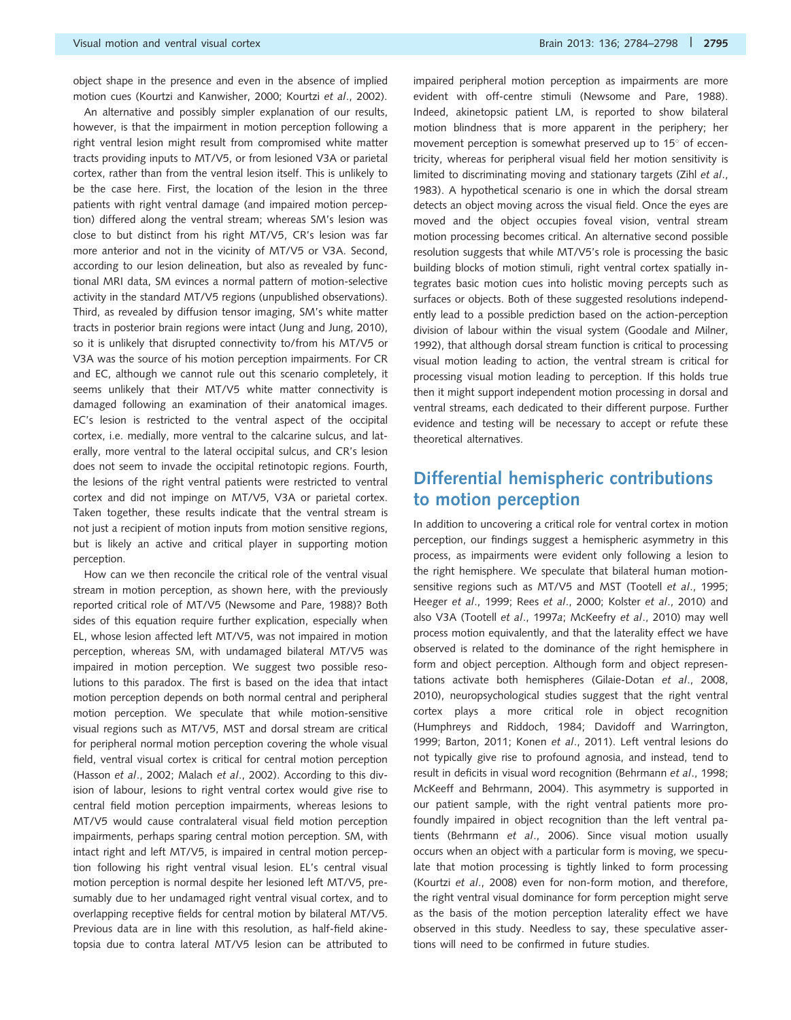object shape in the presence and even in the absence of implied motion cues ([Kourtzi and Kanwisher, 2000](#page-13-0); Kourtzi et al[., 2002](#page-13-0)).

An alternative and possibly simpler explanation of our results, however, is that the impairment in motion perception following a right ventral lesion might result from compromised white matter tracts providing inputs to MT/V5, or from lesioned V3A or parietal cortex, rather than from the ventral lesion itself. This is unlikely to be the case here. First, the location of the lesion in the three patients with right ventral damage (and impaired motion perception) differed along the ventral stream; whereas SM's lesion was close to but distinct from his right MT/V5, CR's lesion was far more anterior and not in the vicinity of MT/V5 or V3A. Second, according to our lesion delineation, but also as revealed by functional MRI data, SM evinces a normal pattern of motion-selective activity in the standard MT/V5 regions (unpublished observations). Third, as revealed by diffusion tensor imaging, SM's white matter tracts in posterior brain regions were intact ([Jung and Jung, 2010](#page-13-0)), so it is unlikely that disrupted connectivity to/from his MT/V5 or V3A was the source of his motion perception impairments. For CR and EC, although we cannot rule out this scenario completely, it seems unlikely that their MT/V5 white matter connectivity is damaged following an examination of their anatomical images. EC's lesion is restricted to the ventral aspect of the occipital cortex, i.e. medially, more ventral to the calcarine sulcus, and laterally, more ventral to the lateral occipital sulcus, and CR's lesion does not seem to invade the occipital retinotopic regions. Fourth, the lesions of the right ventral patients were restricted to ventral cortex and did not impinge on MT/V5, V3A or parietal cortex. Taken together, these results indicate that the ventral stream is not just a recipient of motion inputs from motion sensitive regions, but is likely an active and critical player in supporting motion perception.

How can we then reconcile the critical role of the ventral visual stream in motion perception, as shown here, with the previously reported critical role of MT/V5 [\(Newsome and Pare, 1988\)](#page-13-0)? Both sides of this equation require further explication, especially when EL, whose lesion affected left MT/V5, was not impaired in motion perception, whereas SM, with undamaged bilateral MT/V5 was impaired in motion perception. We suggest two possible resolutions to this paradox. The first is based on the idea that intact motion perception depends on both normal central and peripheral motion perception. We speculate that while motion-sensitive visual regions such as MT/V5, MST and dorsal stream are critical for peripheral normal motion perception covering the whole visual field, ventral visual cortex is critical for central motion perception (Hasson et al[., 2002; Malach](#page-13-0) et al., 2002). According to this division of labour, lesions to right ventral cortex would give rise to central field motion perception impairments, whereas lesions to MT/V5 would cause contralateral visual field motion perception impairments, perhaps sparing central motion perception. SM, with intact right and left MT/V5, is impaired in central motion perception following his right ventral visual lesion. EL's central visual motion perception is normal despite her lesioned left MT/V5, presumably due to her undamaged right ventral visual cortex, and to overlapping receptive fields for central motion by bilateral MT/V5. Previous data are in line with this resolution, as half-field akinetopsia due to contra lateral MT/V5 lesion can be attributed to impaired peripheral motion perception as impairments are more evident with off-centre stimuli [\(Newsome and Pare, 1988](#page-13-0)). Indeed, akinetopsic patient LM, is reported to show bilateral motion blindness that is more apparent in the periphery; her movement perception is somewhat preserved up to  $15^{\circ}$  of eccentricity, whereas for peripheral visual field her motion sensitivity is limited to discriminating moving and stationary targets (Zihl [et al](#page-14-0)., [1983](#page-14-0)). A hypothetical scenario is one in which the dorsal stream detects an object moving across the visual field. Once the eyes are moved and the object occupies foveal vision, ventral stream motion processing becomes critical. An alternative second possible resolution suggests that while MT/V5's role is processing the basic building blocks of motion stimuli, right ventral cortex spatially integrates basic motion cues into holistic moving percepts such as surfaces or objects. Both of these suggested resolutions independently lead to a possible prediction based on the action-perception division of labour within the visual system ([Goodale and Milner,](#page-13-0) [1992](#page-13-0)), that although dorsal stream function is critical to processing visual motion leading to action, the ventral stream is critical for processing visual motion leading to perception. If this holds true then it might support independent motion processing in dorsal and ventral streams, each dedicated to their different purpose. Further evidence and testing will be necessary to accept or refute these theoretical alternatives.

## Differential hemispheric contributions to motion perception

In addition to uncovering a critical role for ventral cortex in motion perception, our findings suggest a hemispheric asymmetry in this process, as impairments were evident only following a lesion to the right hemisphere. We speculate that bilateral human motion-sensitive regions such as MT/V5 and MST (Tootell et al[., 1995](#page-14-0); Heeger et al[., 1999;](#page-13-0) Rees et al[., 2000;](#page-14-0) Kolster et al[., 2010](#page-13-0)) and also V3A (Tootell et al[., 1997](#page-14-0)a; [McKeefry](#page-13-0) et al., 2010) may well process motion equivalently, and that the laterality effect we have observed is related to the dominance of the right hemisphere in form and object perception. Although form and object representations activate both hemispheres [\(Gilaie-Dotan](#page-13-0) et al., 2008, [2010](#page-12-0)), neuropsychological studies suggest that the right ventral cortex plays a more critical role in object recognition [\(Humphreys and Riddoch, 1984](#page-13-0); [Davidoff and Warrington,](#page-12-0) [1999](#page-12-0); [Barton, 2011](#page-12-0); Konen et al[., 2011](#page-13-0)). Left ventral lesions do not typically give rise to profound agnosia, and instead, tend to result in deficits in visual word recognition ([Behrmann](#page-12-0) et al., 1998; [McKeeff and Behrmann, 2004\)](#page-13-0). This asymmetry is supported in our patient sample, with the right ventral patients more profoundly impaired in object recognition than the left ventral patients ([Behrmann](#page-12-0) et al., 2006). Since visual motion usually occurs when an object with a particular form is moving, we speculate that motion processing is tightly linked to form processing (Kourtzi et al[., 2008](#page-13-0)) even for non-form motion, and therefore, the right ventral visual dominance for form perception might serve as the basis of the motion perception laterality effect we have observed in this study. Needless to say, these speculative assertions will need to be confirmed in future studies.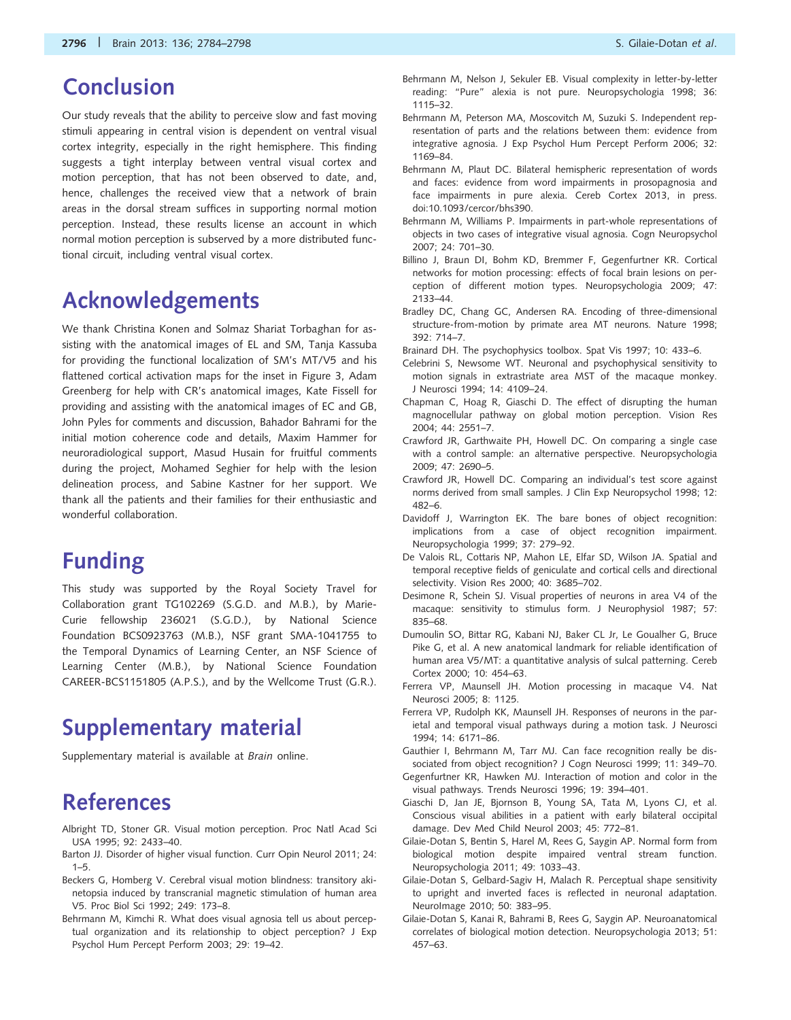## <span id="page-12-0"></span>Conclusion

Our study reveals that the ability to perceive slow and fast moving stimuli appearing in central vision is dependent on ventral visual cortex integrity, especially in the right hemisphere. This finding suggests a tight interplay between ventral visual cortex and motion perception, that has not been observed to date, and, hence, challenges the received view that a network of brain areas in the dorsal stream suffices in supporting normal motion perception. Instead, these results license an account in which normal motion perception is subserved by a more distributed functional circuit, including ventral visual cortex.

## Acknowledgements

We thank Christina Konen and Solmaz Shariat Torbaghan for assisting with the anatomical images of EL and SM, Tanja Kassuba for providing the functional localization of SM's MT/V5 and his flattened cortical activation maps for the inset in [Figure 3,](#page-8-0) Adam Greenberg for help with CR's anatomical images, Kate Fissell for providing and assisting with the anatomical images of EC and GB, John Pyles for comments and discussion, Bahador Bahrami for the initial motion coherence code and details, Maxim Hammer for neuroradiological support, Masud Husain for fruitful comments during the project, Mohamed Seghier for help with the lesion delineation process, and Sabine Kastner for her support. We thank all the patients and their families for their enthusiastic and wonderful collaboration.

## Funding

This study was supported by the Royal Society Travel for Collaboration grant TG102269 (S.G.D. and M.B.), by Marie-Curie fellowship 236021 (S.G.D.), by National Science Foundation BCS0923763 (M.B.), NSF grant SMA-1041755 to the Temporal Dynamics of Learning Center, an NSF Science of Learning Center (M.B.), by National Science Foundation CAREER-BCS1151805 (A.P.S.), and by the Wellcome Trust (G.R.).

## Supplementary material

[Supplementary material](http://brain.oxfordjournals.org/lookup/suppl/doi:10.1093/brain/awt214/-/DC1) is available at Brain online.

## References

- Albright TD, Stoner GR. Visual motion perception. Proc Natl Acad Sci USA 1995; 92: 2433–40.
- Barton JJ. Disorder of higher visual function. Curr Opin Neurol 2011; 24:  $1 - 5$ .
- Beckers G, Homberg V. Cerebral visual motion blindness: transitory akinetopsia induced by transcranial magnetic stimulation of human area V5. Proc Biol Sci 1992; 249: 173–8.
- Behrmann M, Kimchi R. What does visual agnosia tell us about perceptual organization and its relationship to object perception? J Exp Psychol Hum Percept Perform 2003; 29: 19–42.
- Behrmann M, Nelson J, Sekuler EB. Visual complexity in letter-by-letter reading: "Pure" alexia is not pure. Neuropsychologia 1998; 36: 1115–32.
- Behrmann M, Peterson MA, Moscovitch M, Suzuki S. Independent representation of parts and the relations between them: evidence from integrative agnosia. J Exp Psychol Hum Percept Perform 2006; 32: 1169–84.
- Behrmann M, Plaut DC. Bilateral hemispheric representation of words and faces: evidence from word impairments in prosopagnosia and face impairments in pure alexia. Cereb Cortex 2013, in press. doi:10.1093/cercor/bhs390.
- Behrmann M, Williams P. Impairments in part-whole representations of objects in two cases of integrative visual agnosia. Cogn Neuropsychol 2007; 24: 701–30.
- Billino J, Braun DI, Bohm KD, Bremmer F, Gegenfurtner KR. Cortical networks for motion processing: effects of focal brain lesions on perception of different motion types. Neuropsychologia 2009; 47: 2133–44.
- Bradley DC, Chang GC, Andersen RA. Encoding of three-dimensional structure-from-motion by primate area MT neurons. Nature 1998; 392: 714–7.
- Brainard DH. The psychophysics toolbox. Spat Vis 1997; 10: 433–6.
- Celebrini S, Newsome WT. Neuronal and psychophysical sensitivity to motion signals in extrastriate area MST of the macaque monkey. J Neurosci 1994; 14: 4109–24.
- Chapman C, Hoag R, Giaschi D. The effect of disrupting the human magnocellular pathway on global motion perception. Vision Res 2004; 44: 2551–7.
- Crawford JR, Garthwaite PH, Howell DC. On comparing a single case with a control sample: an alternative perspective. Neuropsychologia 2009; 47: 2690–5.
- Crawford JR, Howell DC. Comparing an individual's test score against norms derived from small samples. J Clin Exp Neuropsychol 1998; 12: 482–6.
- Davidoff J, Warrington EK. The bare bones of object recognition: implications from a case of object recognition impairment. Neuropsychologia 1999; 37: 279–92.
- De Valois RL, Cottaris NP, Mahon LE, Elfar SD, Wilson JA. Spatial and temporal receptive fields of geniculate and cortical cells and directional selectivity. Vision Res 2000; 40: 3685–702.
- Desimone R, Schein SJ. Visual properties of neurons in area V4 of the macaque: sensitivity to stimulus form. J Neurophysiol 1987; 57: 835–68.
- Dumoulin SO, Bittar RG, Kabani NJ, Baker CL Jr, Le Goualher G, Bruce Pike G, et al. A new anatomical landmark for reliable identification of human area V5/MT: a quantitative analysis of sulcal patterning. Cereb Cortex 2000; 10: 454–63.
- Ferrera VP, Maunsell JH. Motion processing in macaque V4. Nat Neurosci 2005; 8: 1125.
- Ferrera VP, Rudolph KK, Maunsell JH. Responses of neurons in the parietal and temporal visual pathways during a motion task. J Neurosci 1994; 14: 6171–86.
- Gauthier I, Behrmann M, Tarr MJ. Can face recognition really be dissociated from object recognition? J Cogn Neurosci 1999; 11: 349–70.
- Gegenfurtner KR, Hawken MJ. Interaction of motion and color in the visual pathways. Trends Neurosci 1996; 19: 394–401.
- Giaschi D, Jan JE, Bjornson B, Young SA, Tata M, Lyons CJ, et al. Conscious visual abilities in a patient with early bilateral occipital damage. Dev Med Child Neurol 2003; 45: 772–81.
- Gilaie-Dotan S, Bentin S, Harel M, Rees G, Saygin AP. Normal form from biological motion despite impaired ventral stream function. Neuropsychologia 2011; 49: 1033–43.
- Gilaie-Dotan S, Gelbard-Sagiv H, Malach R. Perceptual shape sensitivity to upright and inverted faces is reflected in neuronal adaptation. NeuroImage 2010; 50: 383–95.
- Gilaie-Dotan S, Kanai R, Bahrami B, Rees G, Saygin AP. Neuroanatomical correlates of biological motion detection. Neuropsychologia 2013; 51: 457–63.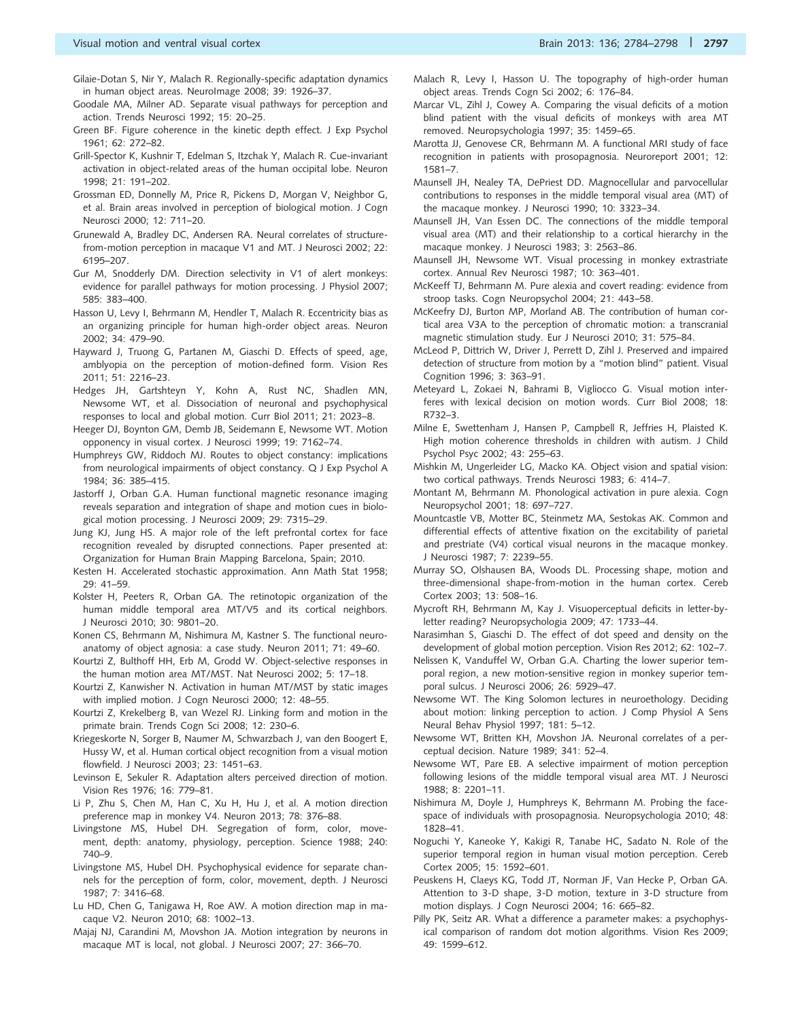- <span id="page-13-0"></span>Gilaie-Dotan S, Nir Y, Malach R. Regionally-specific adaptation dynamics in human object areas. NeuroImage 2008; 39: 1926–37.
- Goodale MA, Milner AD. Separate visual pathways for perception and action. Trends Neurosci 1992; 15: 20–25.
- Green BF. Figure coherence in the kinetic depth effect. J Exp Psychol 1961; 62: 272–82.
- Grill-Spector K, Kushnir T, Edelman S, Itzchak Y, Malach R. Cue-invariant activation in object-related areas of the human occipital lobe. Neuron 1998; 21: 191–202.
- Grossman ED, Donnelly M, Price R, Pickens D, Morgan V, Neighbor G, et al. Brain areas involved in perception of biological motion. J Cogn Neurosci 2000; 12: 711–20.
- Grunewald A, Bradley DC, Andersen RA. Neural correlates of structurefrom-motion perception in macaque V1 and MT. J Neurosci 2002; 22: 6195–207.
- Gur M, Snodderly DM. Direction selectivity in V1 of alert monkeys: evidence for parallel pathways for motion processing. J Physiol 2007; 585: 383–400.
- Hasson U, Levy I, Behrmann M, Hendler T, Malach R. Eccentricity bias as an organizing principle for human high-order object areas. Neuron 2002; 34: 479–90.
- Hayward J, Truong G, Partanen M, Giaschi D. Effects of speed, age, amblyopia on the perception of motion-defined form. Vision Res 2011; 51: 2216–23.
- Hedges JH, Gartshteyn Y, Kohn A, Rust NC, Shadlen MN, Newsome WT, et al. Dissociation of neuronal and psychophysical responses to local and global motion. Curr Biol 2011; 21: 2023–8.

Heeger DJ, Boynton GM, Demb JB, Seidemann E, Newsome WT. Motion opponency in visual cortex. J Neurosci 1999; 19: 7162–74.

- Humphreys GW, Riddoch MJ. Routes to object constancy: implications from neurological impairments of object constancy. Q J Exp Psychol A 1984; 36: 385–415.
- Jastorff J, Orban G.A. Human functional magnetic resonance imaging reveals separation and integration of shape and motion cues in biological motion processing. J Neurosci 2009; 29: 7315–29.
- Jung KJ, Jung HS. A major role of the left prefrontal cortex for face recognition revealed by disrupted connections. Paper presented at: Organization for Human Brain Mapping Barcelona, Spain; 2010.
- Kesten H. Accelerated stochastic approximation. Ann Math Stat 1958; 29: 41–59.
- Kolster H, Peeters R, Orban GA. The retinotopic organization of the human middle temporal area MT/V5 and its cortical neighbors. J Neurosci 2010; 30: 9801–20.
- Konen CS, Behrmann M, Nishimura M, Kastner S. The functional neuroanatomy of object agnosia: a case study. Neuron 2011; 71: 49–60.
- Kourtzi Z, Bulthoff HH, Erb M, Grodd W. Object-selective responses in the human motion area MT/MST. Nat Neurosci 2002; 5: 17–18.
- Kourtzi Z, Kanwisher N. Activation in human MT/MST by static images with implied motion. J Cogn Neurosci 2000; 12: 48–55.
- Kourtzi Z, Krekelberg B, van Wezel RJ. Linking form and motion in the primate brain. Trends Cogn Sci 2008; 12: 230–6.
- Kriegeskorte N, Sorger B, Naumer M, Schwarzbach J, van den Boogert E, Hussy W, et al. Human cortical object recognition from a visual motion flowfield. J Neurosci 2003; 23: 1451–63.
- Levinson E, Sekuler R. Adaptation alters perceived direction of motion. Vision Res 1976; 16: 779–81.
- Li P, Zhu S, Chen M, Han C, Xu H, Hu J, et al. A motion direction preference map in monkey V4. Neuron 2013; 78: 376–88.
- Livingstone MS, Hubel DH. Segregation of form, color, movement, depth: anatomy, physiology, perception. Science 1988; 240: 740–9.
- Livingstone MS, Hubel DH. Psychophysical evidence for separate channels for the perception of form, color, movement, depth. J Neurosci 1987; 7: 3416–68.
- Lu HD, Chen G, Tanigawa H, Roe AW. A motion direction map in macaque V2. Neuron 2010; 68: 1002–13.
- Majaj NJ, Carandini M, Movshon JA. Motion integration by neurons in macaque MT is local, not global. J Neurosci 2007; 27: 366–70.
- Malach R, Levy I, Hasson U. The topography of high-order human object areas. Trends Cogn Sci 2002; 6: 176–84.
- Marcar VL, Zihl J, Cowey A. Comparing the visual deficits of a motion blind patient with the visual deficits of monkeys with area MT removed. Neuropsychologia 1997; 35: 1459–65.
- Marotta JJ, Genovese CR, Behrmann M. A functional MRI study of face recognition in patients with prosopagnosia. Neuroreport 2001; 12: 1581–7.
- Maunsell JH, Nealey TA, DePriest DD. Magnocellular and parvocellular contributions to responses in the middle temporal visual area (MT) of the macaque monkey. J Neurosci 1990; 10: 3323–34.
- Maunsell JH, Van Essen DC. The connections of the middle temporal visual area (MT) and their relationship to a cortical hierarchy in the macaque monkey. J Neurosci 1983; 3: 2563–86.
- Maunsell JH, Newsome WT. Visual processing in monkey extrastriate cortex. Annual Rev Neurosci 1987; 10: 363–401.
- McKeeff TJ, Behrmann M. Pure alexia and covert reading: evidence from stroop tasks. Cogn Neuropsychol 2004; 21: 443–58.
- McKeefry DJ, Burton MP, Morland AB. The contribution of human cortical area V3A to the perception of chromatic motion: a transcranial magnetic stimulation study. Eur J Neurosci 2010; 31: 575–84.
- McLeod P, Dittrich W, Driver J, Perrett D, Zihl J. Preserved and impaired detection of structure from motion by a "motion blind" patient. Visual Cognition 1996; 3: 363–91.
- Meteyard L, Zokaei N, Bahrami B, Vigliocco G. Visual motion interferes with lexical decision on motion words. Curr Biol 2008; 18: R732–3.
- Milne E, Swettenham J, Hansen P, Campbell R, Jeffries H, Plaisted K. High motion coherence thresholds in children with autism. J Child Psychol Psyc 2002; 43: 255–63.
- Mishkin M, Ungerleider LG, Macko KA. Object vision and spatial vision: two cortical pathways. Trends Neurosci 1983; 6: 414–7.
- Montant M, Behrmann M. Phonological activation in pure alexia. Cogn Neuropsychol 2001; 18: 697–727.
- Mountcastle VB, Motter BC, Steinmetz MA, Sestokas AK. Common and differential effects of attentive fixation on the excitability of parietal and prestriate (V4) cortical visual neurons in the macaque monkey. J Neurosci 1987; 7: 2239–55.
- Murray SO, Olshausen BA, Woods DL. Processing shape, motion and three-dimensional shape-from-motion in the human cortex. Cereb Cortex 2003; 13: 508–16.
- Mycroft RH, Behrmann M, Kay J. Visuoperceptual deficits in letter-byletter reading? Neuropsychologia 2009; 47: 1733–44.
- Narasimhan S, Giaschi D. The effect of dot speed and density on the development of global motion perception. Vision Res 2012; 62: 102–7.
- Nelissen K, Vanduffel W, Orban G.A. Charting the lower superior temporal region, a new motion-sensitive region in monkey superior temporal sulcus. J Neurosci 2006; 26: 5929–47.
- Newsome WT. The King Solomon lectures in neuroethology. Deciding about motion: linking perception to action. J Comp Physiol A Sens Neural Behav Physiol 1997; 181: 5–12.
- Newsome WT, Britten KH, Movshon JA. Neuronal correlates of a perceptual decision. Nature 1989; 341: 52–4.
- Newsome WT, Pare EB. A selective impairment of motion perception following lesions of the middle temporal visual area MT. J Neurosci 1988; 8: 2201–11.
- Nishimura M, Doyle J, Humphreys K, Behrmann M. Probing the facespace of individuals with prosopagnosia. Neuropsychologia 2010; 48: 1828–41.
- Noguchi Y, Kaneoke Y, Kakigi R, Tanabe HC, Sadato N. Role of the superior temporal region in human visual motion perception. Cereb Cortex 2005; 15: 1592–601.
- Peuskens H, Claeys KG, Todd JT, Norman JF, Van Hecke P, Orban GA. Attention to 3-D shape, 3-D motion, texture in 3-D structure from motion displays. J Cogn Neurosci 2004; 16: 665–82.
- Pilly PK, Seitz AR. What a difference a parameter makes: a psychophysical comparison of random dot motion algorithms. Vision Res 2009; 49: 1599–612.